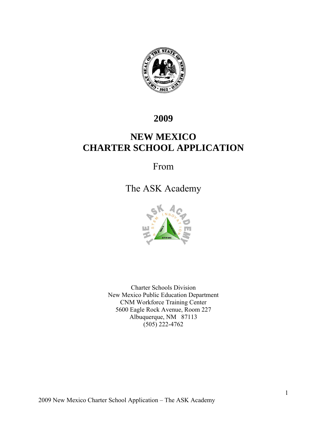

# **2009**

# **NEW MEXICO CHARTER SCHOOL APPLICATION**

# From

# The ASK Academy



Charter Schools Division New Mexico Public Education Department CNM Workforce Training Center 5600 Eagle Rock Avenue, Room 227 Albuquerque, NM 87113  $(505)$  222-4762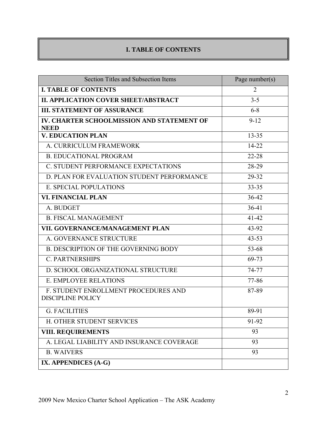# **I. TABLE OF CONTENTS**

| <b>Section Titles and Subsection Items</b>                       | Page number( $s$ ) |
|------------------------------------------------------------------|--------------------|
| <b>I. TABLE OF CONTENTS</b>                                      | 2                  |
| <b>II. APPLICATION COVER SHEET/ABSTRACT</b>                      | $3 - 5$            |
| <b>III. STATEMENT OF ASSURANCE</b>                               | $6 - 8$            |
| IV. CHARTER SCHOOLMISSION AND STATEMENT OF<br><b>NEED</b>        | $9 - 12$           |
| <b>V. EDUCATION PLAN</b>                                         | $13 - 35$          |
| A. CURRICULUM FRAMEWORK                                          | 14-22              |
| <b>B. EDUCATIONAL PROGRAM</b>                                    | $22 - 28$          |
| C. STUDENT PERFORMANCE EXPECTATIONS                              | 28-29              |
| D. PLAN FOR EVALUATION STUDENT PERFORMANCE                       | 29-32              |
| E. SPECIAL POPULATIONS                                           | $33 - 35$          |
| <b>VI. FINANCIAL PLAN</b>                                        | 36-42              |
| A. BUDGET                                                        | $36-41$            |
| <b>B. FISCAL MANAGEMENT</b>                                      | $41 - 42$          |
| VII. GOVERNANCE/MANAGEMENT PLAN                                  | 43-92              |
| A. GOVERNANCE STRUCTURE                                          | $43 - 53$          |
| <b>B. DESCRIPTION OF THE GOVERNING BODY</b>                      | 53-68              |
| <b>C. PARTNERSHIPS</b>                                           | 69-73              |
| D. SCHOOL ORGANIZATIONAL STRUCTURE                               | 74-77              |
| <b>E. EMPLOYEE RELATIONS</b>                                     | 77-86              |
| F. STUDENT ENROLLMENT PROCEDURES AND<br><b>DISCIPLINE POLICY</b> | 87-89              |
| <b>G. FACILITIES</b>                                             | 89-91              |
| H. OTHER STUDENT SERVICES                                        | 91-92              |
| <b>VIII. REQUIREMENTS</b>                                        | 93                 |
| A. LEGAL LIABILITY AND INSURANCE COVERAGE                        | 93                 |
| <b>B. WAIVERS</b>                                                | 93                 |
| IX. APPENDICES (A-G)                                             |                    |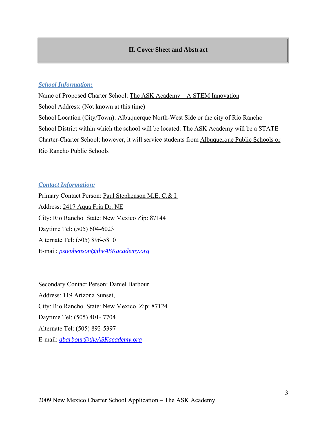## **II. Cover Sheet and Abstract**

## *School Information:*

Name of Proposed Charter School: The ASK Academy – A STEM Innovation School Address: (Not known at this time) School Location (City/Town): Albuquerque North-West Side or the city of Rio Rancho School District within which the school will be located: The ASK Academy will be a STATE Charter-Charter School; however, it will service students from Albuquerque Public Schools or Rio Rancho Public Schools

## *Contact Information:*

Primary Contact Person: Paul Stephenson M.E. C.& I. Address: 2417 Aqua Fria Dr. NE City: Rio Rancho State: New Mexico Zip: 87144 Daytime Tel: (505) 604-6023 Alternate Tel: (505) 896-5810 E-mail: *pstephenson@theASKacademy.org*

Secondary Contact Person: Daniel Barbour Address: 119 Arizona Sunset, City: Rio Rancho State: New Mexico Zip: 87124 Daytime Tel: (505) 401- 7704 Alternate Tel: (505) 892-5397 E-mail: *dbarbour@theASKacademy.org*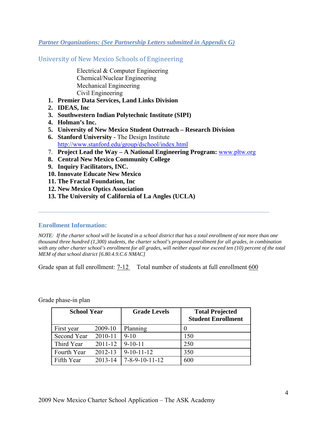## *Partner Organizations: (See Partnership Letters submitted in Appendix G)*

University of New Mexico Schools of Engineering

 Electrical & Computer Engineering Chemical/Nuclear Engineering Mechanical Engineering Civil Engineering

- **1. Premier Data Services, Land Links Division**
- **2. IDEAS, Inc**
- **3. Southwestern Indian Polytechnic Institute (SIPI)**
- **4. Holman's Inc.**
- **5. University of New Mexico Student Outreach Research Division**
- **6. Stanford University** The Design Institute http://www.stanford.edu/group/dschool/index.html
- 7. **Project Lead the Way A National Engineering Program:** www.pltw.org
- **8. Central New Mexico Community College**
- **9. Inquiry Facilitators, INC.**
- **10. Innovate Educate New Mexico**
- **11. The Fractal Foundation, Inc**
- **12. New Mexico Optics Association**
- **13. The University of California of La Angles (UCLA)**

#### **Enrollment Information:**

*NOTE: If the charter school will be located in a school district that has a total enrollment of not more than one thousand three hundred (1,300) students, the charter school's proposed enrollment for all grades, in combination with any other charter school's enrollment for all grades, will neither equal nor exceed ten (10) percent of the total MEM of that school district [6.80.4.9.C.6 NMAC]* 

Grade span at full enrollment:  $7-12$  Total number of students at full enrollment 600

Grade phase-in plan

| <b>School Year</b> |             | <b>Grade Levels</b>        | <b>Total Projected</b><br><b>Student Enrollment</b> |
|--------------------|-------------|----------------------------|-----------------------------------------------------|
| First year         | 2009-10     | Planning                   | $\theta$                                            |
| Second Year        | 2010-11     | $9 - 10$                   | 150                                                 |
| Third Year         | $2011 - 12$ | $9-10-11$                  | 250                                                 |
| Fourth Year        | 2012-13     | $9-10-11-12$               | 350                                                 |
| Fifth Year         | $2013 - 14$ | $7 - 8 - 9 - 10 - 11 - 12$ | 600                                                 |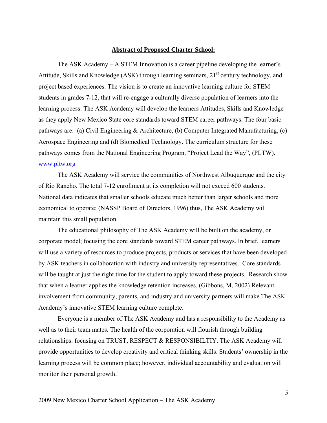#### **Abstract of Proposed Charter School:**

The ASK Academy – A STEM Innovation is a career pipeline developing the learner's Attitude, Skills and Knowledge (ASK) through learning seminars,  $21<sup>st</sup>$  century technology, and project based experiences. The vision is to create an innovative learning culture for STEM students in grades 7-12, that will re-engage a culturally diverse population of learners into the learning process. The ASK Academy will develop the learners Attitudes, Skills and Knowledge as they apply New Mexico State core standards toward STEM career pathways. The four basic pathways are: (a) Civil Engineering & Architecture, (b) Computer Integrated Manufacturing, (c) Aerospace Engineering and (d) Biomedical Technology. The curriculum structure for these pathways comes from the National Engineering Program, "Project Lead the Way", (PLTW). www.pltw.org

The ASK Academy will service the communities of Northwest Albuquerque and the city of Rio Rancho. The total 7-12 enrollment at its completion will not exceed 600 students. National data indicates that smaller schools educate much better than larger schools and more economical to operate; (NASSP Board of Directors, 1996) thus, The ASK Academy will maintain this small population.

The educational philosophy of The ASK Academy will be built on the academy, or corporate model; focusing the core standards toward STEM career pathways. In brief, learners will use a variety of resources to produce projects, products or services that have been developed by ASK teachers in collaboration with industry and university representatives. Core standards will be taught at just the right time for the student to apply toward these projects. Research show that when a learner applies the knowledge retention increases. (Gibbons, M, 2002) Relevant involvement from community, parents, and industry and university partners will make The ASK Academy's innovative STEM learning culture complete.

Everyone is a member of The ASK Academy and has a responsibility to the Academy as well as to their team mates. The health of the corporation will flourish through building relationships: focusing on TRUST, RESPECT & RESPONSIBILTIY. The ASK Academy will provide opportunities to develop creativity and critical thinking skills. Students' ownership in the learning process will be common place; however, individual accountability and evaluation will monitor their personal growth.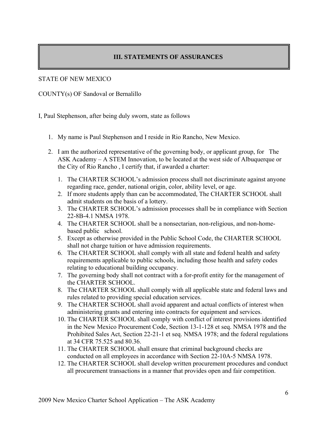## **III. STATEMENTS OF ASSURANCES**

## STATE OF NEW MEXICO

COUNTY(s) OF Sandoval or Bernalillo

I, Paul Stephenson, after being duly sworn, state as follows

- 1. My name is Paul Stephenson and I reside in Rio Rancho, New Mexico.
- 2. I am the authorized representative of the governing body, or applicant group, for The ASK Academy – A STEM Innovation, to be located at the west side of Albuquerque or the City of Rio Rancho , I certify that, if awarded a charter:
	- 1. The CHARTER SCHOOL's admission process shall not discriminate against anyone regarding race, gender, national origin, color, ability level, or age.
	- 2. If more students apply than can be accommodated, The CHARTER SCHOOL shall admit students on the basis of a lottery.
	- 3. The CHARTER SCHOOL's admission processes shall be in compliance with Section 22-8B-4.1 NMSA 1978.
	- 4. The CHARTER SCHOOL shall be a nonsectarian, non-religious, and non-homebased public school.
	- 5. Except as otherwise provided in the Public School Code, the CHARTER SCHOOL shall not charge tuition or have admission requirements.
	- 6. The CHARTER SCHOOL shall comply with all state and federal health and safety requirements applicable to public schools, including those health and safety codes relating to educational building occupancy.
	- 7. The governing body shall not contract with a for-profit entity for the management of the CHARTER SCHOOL.
	- 8. The CHARTER SCHOOL shall comply with all applicable state and federal laws and rules related to providing special education services.
	- 9. The CHARTER SCHOOL shall avoid apparent and actual conflicts of interest when administering grants and entering into contracts for equipment and services.
	- 10. The CHARTER SCHOOL shall comply with conflict of interest provisions identified in the New Mexico Procurement Code, Section 13-1-128 et seq. NMSA 1978 and the Prohibited Sales Act, Section 22-21-1 et seq. NMSA 1978; and the federal regulations at 34 CFR 75.525 and 80.36.
	- 11. The CHARTER SCHOOL shall ensure that criminal background checks are conducted on all employees in accordance with Section 22-10A-5 NMSA 1978.
	- 12. The CHARTER SCHOOL shall develop written procurement procedures and conduct all procurement transactions in a manner that provides open and fair competition.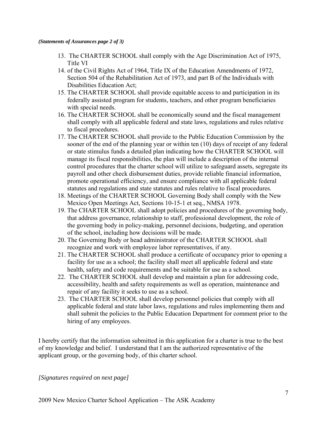#### *(Statements of Assurances page 2 of 3)*

- 13. The CHARTER SCHOOL shall comply with the Age Discrimination Act of 1975, Title VI
- 14. of the Civil Rights Act of 1964, Title IX of the Education Amendments of 1972, Section 504 of the Rehabilitation Act of 1973, and part B of the Individuals with Disabilities Education Act;
- 15. The CHARTER SCHOOL shall provide equitable access to and participation in its federally assisted program for students, teachers, and other program beneficiaries with special needs.
- 16. The CHARTER SCHOOL shall be economically sound and the fiscal management shall comply with all applicable federal and state laws, regulations and rules relative to fiscal procedures.
- 17. The CHARTER SCHOOL shall provide to the Public Education Commission by the sooner of the end of the planning year or within ten (10) days of receipt of any federal or state stimulus funds a detailed plan indicating how the CHARTER SCHOOL will manage its fiscal responsibilities, the plan will include a description of the internal control procedures that the charter school will utilize to safeguard assets, segregate its payroll and other check disbursement duties, provide reliable financial information, promote operational efficiency, and ensure compliance with all applicable federal statutes and regulations and state statutes and rules relative to fiscal procedures.
- 18. Meetings of the CHARTER SCHOOL Governing Body shall comply with the New Mexico Open Meetings Act, Sections 10-15-1 et seq., NMSA 1978.
- 19. The CHARTER SCHOOL shall adopt policies and procedures of the governing body, that address governance, relationship to staff, professional development, the role of the governing body in policy-making, personnel decisions, budgeting, and operation of the school, including how decisions will be made.
- 20. The Governing Body or head administrator of the CHARTER SCHOOL shall recognize and work with employee labor representatives, if any.
- 21. The CHARTER SCHOOL shall produce a certificate of occupancy prior to opening a facility for use as a school; the facility shall meet all applicable federal and state health, safety and code requirements and be suitable for use as a school.
- 22. The CHARTER SCHOOL shall develop and maintain a plan for addressing code, accessibility, health and safety requirements as well as operation, maintenance and repair of any facility it seeks to use as a school.
- 23. The CHARTER SCHOOL shall develop personnel policies that comply with all applicable federal and state labor laws, regulations and rules implementing them and shall submit the policies to the Public Education Department for comment prior to the hiring of any employees.

I hereby certify that the information submitted in this application for a charter is true to the best of my knowledge and belief. I understand that I am the authorized representative of the applicant group, or the governing body, of this charter school.

## *[Signatures required on next page]*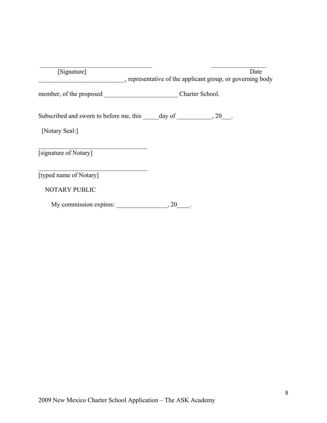| [Signature]                                                                | Date<br>, representative of the applicant group, or governing body |
|----------------------------------------------------------------------------|--------------------------------------------------------------------|
|                                                                            | Charter School.                                                    |
| Subscribed and sworn to before me, this $\_\_\_\_day\$ of $\_\_\_\_\_3\$ . |                                                                    |
| [Notary Seal:]                                                             |                                                                    |
| [signature of Notary]                                                      |                                                                    |
| [typed name of Notary]                                                     |                                                                    |
| <b>NOTARY PUBLIC</b>                                                       |                                                                    |
| My commission expires:                                                     | $\,$ , 20                                                          |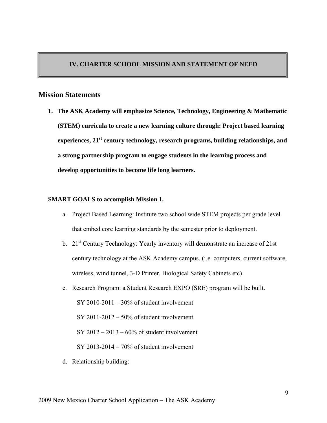## **IV. CHARTER SCHOOL MISSION AND STATEMENT OF NEED**

## **Mission Statements**

**1. The ASK Academy will emphasize Science, Technology, Engineering & Mathematic (STEM) curricula to create a new learning culture through: Project based learning experiences, 21st century technology, research programs, building relationships, and a strong partnership program to engage students in the learning process and develop opportunities to become life long learners.** 

#### **SMART GOALS to accomplish Mission 1.**

- a. Project Based Learning: Institute two school wide STEM projects per grade level that embed core learning standards by the semester prior to deployment.
- b. 21<sup>st</sup> Century Technology: Yearly inventory will demonstrate an increase of 21st century technology at the ASK Academy campus. (i.e. computers, current software, wireless, wind tunnel, 3-D Printer, Biological Safety Cabinets etc)
- c. Research Program: a Student Research EXPO (SRE) program will be built. SY 2010-2011 –  $30\%$  of student involvement SY 2011-2012 – 50% of student involvement  $SY 2012 - 2013 - 60\%$  of student involvement SY 2013-2014 – 70% of student involvement
- d. Relationship building: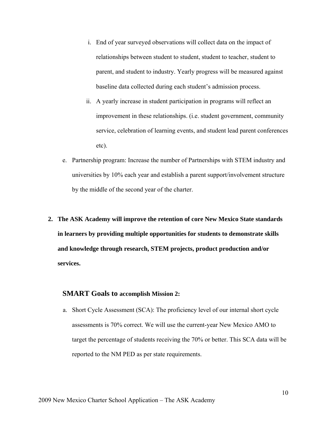- i. End of year surveyed observations will collect data on the impact of relationships between student to student, student to teacher, student to parent, and student to industry. Yearly progress will be measured against baseline data collected during each student's admission process.
- ii. A yearly increase in student participation in programs will reflect an improvement in these relationships. (i.e. student government, community service, celebration of learning events, and student lead parent conferences etc).
- e. Partnership program: Increase the number of Partnerships with STEM industry and universities by 10% each year and establish a parent support/involvement structure by the middle of the second year of the charter.
- **2. The ASK Academy will improve the retention of core New Mexico State standards in learners by providing multiple opportunities for students to demonstrate skills and knowledge through research, STEM projects, product production and/or services.**

## **SMART Goals to accomplish Mission 2:**

a. Short Cycle Assessment (SCA): The proficiency level of our internal short cycle assessments is 70% correct. We will use the current-year New Mexico AMO to target the percentage of students receiving the 70% or better. This SCA data will be reported to the NM PED as per state requirements.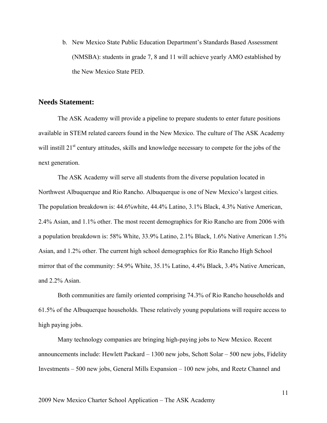b. New Mexico State Public Education Department's Standards Based Assessment (NMSBA): students in grade 7, 8 and 11 will achieve yearly AMO established by the New Mexico State PED.

## **Needs Statement:**

The ASK Academy will provide a pipeline to prepare students to enter future positions available in STEM related careers found in the New Mexico. The culture of The ASK Academy will instill 21<sup>st</sup> century attitudes, skills and knowledge necessary to compete for the jobs of the next generation.

The ASK Academy will serve all students from the diverse population located in Northwest Albuquerque and Rio Rancho. Albuquerque is one of New Mexico's largest cities. The population breakdown is: 44.6%white, 44.4% Latino, 3.1% Black, 4.3% Native American, 2.4% Asian, and 1.1% other. The most recent demographics for Rio Rancho are from 2006 with a population breakdown is: 58% White, 33.9% Latino, 2.1% Black, 1.6% Native American 1.5% Asian, and 1.2% other. The current high school demographics for Rio Rancho High School mirror that of the community: 54.9% White, 35.1% Latino, 4.4% Black, 3.4% Native American, and 2.2% Asian.

Both communities are family oriented comprising 74.3% of Rio Rancho households and 61.5% of the Albuquerque households. These relatively young populations will require access to high paying jobs.

Many technology companies are bringing high-paying jobs to New Mexico. Recent announcements include: Hewlett Packard – 1300 new jobs, Schott Solar – 500 new jobs, Fidelity Investments – 500 new jobs, General Mills Expansion – 100 new jobs, and Reetz Channel and

11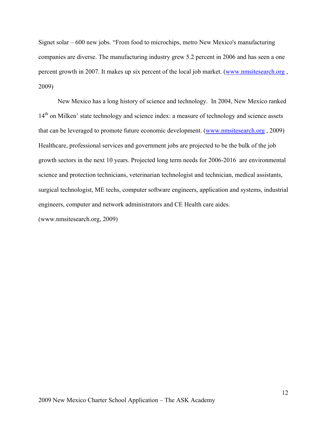Signet solar – 600 new jobs. "From food to microchips, metro New Mexico's manufacturing companies are diverse. The manufacturing industry grew 5.2 percent in 2006 and has seen a one percent growth in 2007. It makes up six percent of the local job market. (www.nmsitesearch.org , 2009)

New Mexico has a long history of science and technology. In 2004, New Mexico ranked 14<sup>th</sup> on Milken' state technology and science index: a measure of technology and science assets that can be leveraged to promote future economic development. (www.nmsitesearch.org , 2009) Healthcare, professional services and government jobs are projected to be the bulk of the job growth sectors in the next 10 years. Projected long term needs for 2006-2016 are environmental science and protection technicians, veterinarian technologist and technician, medical assistants, surgical technologist, ME techs, computer software engineers, application and systems, industrial engineers, computer and network administrators and CE Health care aides.

(www.nmsitesearch.org, 2009)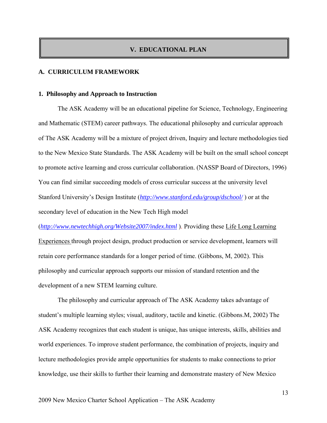## **V. EDUCATIONAL PLAN**

#### **A. CURRICULUM FRAMEWORK**

#### **1. Philosophy and Approach to Instruction**

The ASK Academy will be an educational pipeline for Science, Technology, Engineering and Mathematic (STEM) career pathways. The educational philosophy and curricular approach of The ASK Academy will be a mixture of project driven, Inquiry and lecture methodologies tied to the New Mexico State Standards. The ASK Academy will be built on the small school concept to promote active learning and cross curricular collaboration. (NASSP Board of Directors, 1996) You can find similar succeeding models of cross curricular success at the university level Stanford University's Design Institute (*http://www.stanford.edu/group/dschool/* ) or at the secondary level of education in the New Tech High model

(*http://www.newtechhigh.org/Website2007/index.html* ). Providing these Life Long Learning Experiences through project design, product production or service development, learners will retain core performance standards for a longer period of time. (Gibbons, M, 2002). This philosophy and curricular approach supports our mission of standard retention and the development of a new STEM learning culture.

The philosophy and curricular approach of The ASK Academy takes advantage of student's multiple learning styles; visual, auditory, tactile and kinetic. (Gibbons.M, 2002) The ASK Academy recognizes that each student is unique, has unique interests, skills, abilities and world experiences. To improve student performance, the combination of projects, inquiry and lecture methodologies provide ample opportunities for students to make connections to prior knowledge, use their skills to further their learning and demonstrate mastery of New Mexico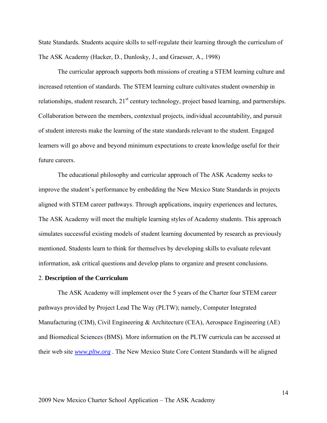State Standards. Students acquire skills to self-regulate their learning through the curriculum of The ASK Academy (Hacker, D., Dunlosky, J., and Graesser, A., 1998)

The curricular approach supports both missions of creating a STEM learning culture and increased retention of standards. The STEM learning culture cultivates student ownership in relationships, student research,  $21<sup>st</sup>$  century technology, project based learning, and partnerships. Collaboration between the members, contextual projects, individual accountability, and pursuit of student interests make the learning of the state standards relevant to the student. Engaged learners will go above and beyond minimum expectations to create knowledge useful for their future careers.

The educational philosophy and curricular approach of The ASK Academy seeks to improve the student's performance by embedding the New Mexico State Standards in projects aligned with STEM career pathways. Through applications, inquiry experiences and lectures, The ASK Academy will meet the multiple learning styles of Academy students. This approach simulates successful existing models of student learning documented by research as previously mentioned. Students learn to think for themselves by developing skills to evaluate relevant information, ask critical questions and develop plans to organize and present conclusions.

#### 2. **Description of the Curriculum**

The ASK Academy will implement over the 5 years of the Charter four STEM career pathways provided by Project Lead The Way (PLTW); namely, Computer Integrated Manufacturing (CIM), Civil Engineering & Architecture (CEA), Aerospace Engineering (AE) and Biomedical Sciences (BMS). More information on the PLTW curricula can be accessed at their web site *www.pltw.org* . The New Mexico State Core Content Standards will be aligned

14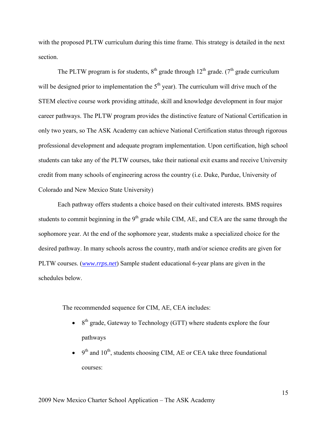with the proposed PLTW curriculum during this time frame. This strategy is detailed in the next section.

The PLTW program is for students,  $8<sup>th</sup>$  grade through 12<sup>th</sup> grade. ( $7<sup>th</sup>$  grade curriculum will be designed prior to implementation the  $5<sup>th</sup>$  year). The curriculum will drive much of the STEM elective course work providing attitude, skill and knowledge development in four major career pathways. The PLTW program provides the distinctive feature of National Certification in only two years, so The ASK Academy can achieve National Certification status through rigorous professional development and adequate program implementation. Upon certification, high school students can take any of the PLTW courses, take their national exit exams and receive University credit from many schools of engineering across the country (i.e. Duke, Purdue, University of Colorado and New Mexico State University)

Each pathway offers students a choice based on their cultivated interests. BMS requires students to commit beginning in the 9<sup>th</sup> grade while CIM, AE, and CEA are the same through the sophomore year. At the end of the sophomore year, students make a specialized choice for the desired pathway. In many schools across the country, math and/or science credits are given for PLTW courses. (*www.rrps.net*) Sample student educational 6-year plans are given in the schedules below.

The recommended sequence for CIM, AE, CEA includes:

- $8<sup>th</sup>$  grade, Gateway to Technology (GTT) where students explore the four pathways
- $\bullet$  9<sup>th</sup> and 10<sup>th</sup>, students choosing CIM, AE or CEA take three foundational courses: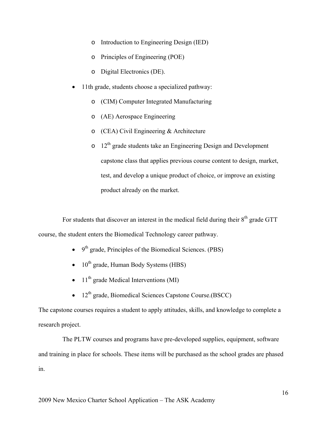- o Introduction to Engineering Design (IED)
- o Principles of Engineering (POE)
- o Digital Electronics (DE).
- 11th grade, students choose a specialized pathway:
	- o (CIM) Computer Integrated Manufacturing
	- o (AE) Aerospace Engineering
	- o (CEA) Civil Engineering & Architecture
	- $\circ$  12<sup>th</sup> grade students take an Engineering Design and Development capstone class that applies previous course content to design, market, test, and develop a unique product of choice, or improve an existing product already on the market.

For students that discover an interest in the medical field during their 8<sup>th</sup> grade GTT course, the student enters the Biomedical Technology career pathway.

- $\bullet$  9<sup>th</sup> grade, Principles of the Biomedical Sciences. (PBS)
- $\bullet$  10<sup>th</sup> grade, Human Body Systems (HBS)
- $11<sup>th</sup>$  grade Medical Interventions (MI)
- 12<sup>th</sup> grade, Biomedical Sciences Capstone Course.(BSCC)

The capstone courses requires a student to apply attitudes, skills, and knowledge to complete a research project.

The PLTW courses and programs have pre-developed supplies, equipment, software and training in place for schools. These items will be purchased as the school grades are phased in.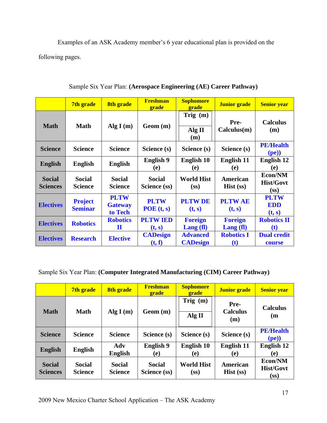Examples of an ASK Academy member's 6 year educational plan is provided on the following pages.

|                                  | 7th grade                        | 8th grade                                | <b>Freshman</b><br>grade      | <b>Sophomore</b><br>grade              | <b>Junior grade</b>                        | <b>Senior year</b>                  |
|----------------------------------|----------------------------------|------------------------------------------|-------------------------------|----------------------------------------|--------------------------------------------|-------------------------------------|
| <b>Math</b>                      | <b>Math</b>                      | Alg $I(m)$                               | Geom(m)                       | Trig $(m)$<br>Alg II<br>(m)            | Pre-<br>Calculus(m)                        | <b>Calculus</b><br>(m)              |
| <b>Science</b>                   | <b>Science</b>                   | <b>Science</b>                           | Science (s)                   | Science (s)                            | Science (s)                                | <b>PE/Health</b><br>(pe)            |
| <b>English</b>                   | <b>English</b>                   | <b>English</b>                           | <b>English 9</b><br>(e)       | <b>English 10</b><br>(e)               | <b>English 11</b><br>(e)                   | <b>English 12</b><br>(e)            |
| <b>Social</b><br><b>Sciences</b> | <b>Social</b><br><b>Science</b>  | <b>Social</b><br><b>Science</b>          | <b>Social</b><br>Science (ss) | <b>World Hist</b><br>(s <sub>s</sub> ) | American<br>$Hist$ (ss)                    | Econ/NM<br><b>Hist/Govt</b><br>(SS) |
| <b>Electives</b>                 | <b>Project</b><br><b>Seminar</b> | <b>PLTW</b><br><b>Gateway</b><br>to Tech | <b>PLTW</b><br>POE(t, s)      | <b>PLTWDE</b><br>(t, s)                | <b>PLTWAE</b><br>(t, s)                    | <b>PLTW</b><br><b>EDD</b><br>(t, s) |
| <b>Electives</b>                 | <b>Robotics</b>                  | <b>Robotics</b><br>П                     | <b>PLTW IED</b><br>(t, s)     | <b>Foreign</b><br>Lang (fl)            | <b>Foreign</b><br>$\text{Lang}(\text{fl})$ | <b>Robotics II</b><br>(t)           |
| <b>Electives</b>                 | <b>Research</b>                  | <b>Elective</b>                          | <b>CADesign</b><br>(t, f)     | <b>Advanced</b><br><b>CADesign</b>     | <b>Robotics I</b><br>$\left( t\right)$     | <b>Dual credit</b><br>course        |

Sample Six Year Plan: **(Aerospace Engineering (AE) Career Pathway)** 

## Sample Six Year Plan: **(Computer Integrated Manufacturing (CIM) Career Pathway)**

|                                  | 7th grade                       | 8th grade                       | <b>Freshman</b><br>grade      | <b>Sophomore</b><br>grade              | <b>Junior</b> grade            | <b>Senior year</b>                  |
|----------------------------------|---------------------------------|---------------------------------|-------------------------------|----------------------------------------|--------------------------------|-------------------------------------|
| <b>Math</b>                      | <b>Math</b>                     | Alg $I(m)$                      | Geom(m)                       | Trig $(m)$<br>Alg II                   | Pre-<br><b>Calculus</b><br>(m) | <b>Calculus</b><br>(m               |
| <b>Science</b>                   | <b>Science</b>                  | <b>Science</b>                  | Science (s)                   | Science (s)                            | Science (s)                    | <b>PE/Health</b><br>(pe))           |
| <b>English</b>                   | <b>English</b>                  | Adv<br><b>English</b>           | English 9<br>(e)              | English 10<br>(e)                      | <b>English 11</b><br>(e)       | <b>English 12</b><br>(e)            |
| <b>Social</b><br><b>Sciences</b> | <b>Social</b><br><b>Science</b> | <b>Social</b><br><b>Science</b> | <b>Social</b><br>Science (ss) | <b>World Hist</b><br>(s <sub>S</sub> ) | American<br>$Hist$ (ss)        | Econ/NM<br><b>Hist/Govt</b><br>(SS) |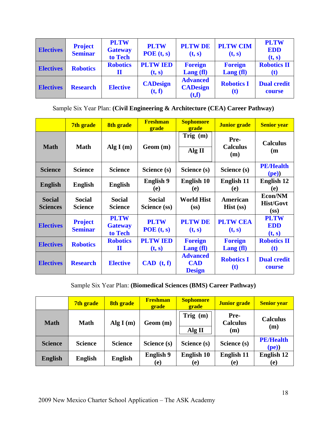| <b>Electives</b> | <b>Project</b><br><b>Seminar</b> | <b>PLTW</b><br><b>Gateway</b><br>to Tech | <b>PLTW</b><br>POE(t, s)  | <b>PLTWDE</b><br>(t, s)                      | <b>PLTW CIM</b><br>(t, s) | <b>PLTW</b><br><b>EDD</b><br>(t, s) |
|------------------|----------------------------------|------------------------------------------|---------------------------|----------------------------------------------|---------------------------|-------------------------------------|
| <b>Electives</b> | <b>Robotics</b>                  | <b>Robotics</b><br>П                     | <b>PLTW IED</b><br>(t, s) | <b>Foreign</b><br>$\text{Lang}(\text{fl})$   | <b>Foreign</b><br>Lang(f) | <b>Robotics II</b><br>(t)           |
| <b>Electives</b> | <b>Research</b>                  | <b>Elective</b>                          | <b>CADesign</b><br>(t, f) | <b>Advanced</b><br><b>CADesign</b><br>(t, f) | <b>Robotics I</b><br>(t)  | <b>Dual credit</b><br>course        |

Sample Six Year Plan: **(Civil Engineering & Architecture (CEA) Career Pathway)** 

|                                  | 7th grade                        | 8th grade                                | <b>Freshman</b><br>grade      | <b>Sophomore</b><br><b>grade</b>               | <b>Junior grade</b>                        | <b>Senior year</b>                                |
|----------------------------------|----------------------------------|------------------------------------------|-------------------------------|------------------------------------------------|--------------------------------------------|---------------------------------------------------|
| <b>Math</b>                      | <b>Math</b>                      | Alg $I(m)$                               | Geom(m)                       | Trig $(m)$<br>Alg II                           | Pre-<br><b>Calculus</b><br>(m)             | <b>Calculus</b><br>(m)                            |
| <b>Science</b>                   | <b>Science</b>                   | <b>Science</b>                           | Science (s)                   | Science (s)                                    | Science (s)                                | <b>PE/Health</b><br>(pe)                          |
| <b>English</b>                   | <b>English</b>                   | <b>English</b>                           | <b>English 9</b><br>(e)       | English 10<br>(e)                              | <b>English 11</b><br>(e)                   | <b>English 12</b><br>(e)                          |
| <b>Social</b><br><b>Sciences</b> | <b>Social</b><br><b>Science</b>  | <b>Social</b><br><b>Science</b>          | <b>Social</b><br>Science (ss) | <b>World Hist</b><br>(s <sub>s</sub> )         | American<br>$Hist$ (ss)                    | Econ/NM<br><b>Hist/Govt</b><br>(SS)               |
| <b>Electives</b>                 | <b>Project</b><br><b>Seminar</b> | <b>PLTW</b><br><b>Gateway</b><br>to Tech | <b>PLTW</b><br>POE(t, s)      | <b>PLTWDE</b><br>(t, s)                        | <b>PLTW CEA</b><br>(t, s)                  | <b>PLTW</b><br><b>EDD</b><br>(t, s)               |
| <b>Electives</b>                 | <b>Robotics</b>                  | <b>Robotics</b><br>$\bf{I}$              | <b>PLTW IED</b><br>(t, s)     | <b>Foreign</b><br>$\text{Lang}(\text{fl})$     | <b>Foreign</b><br>$\text{Lang}(\text{fl})$ | <b>Robotics II</b><br>$\left( \mathbf{t} \right)$ |
| <b>Electives</b>                 | <b>Research</b>                  | <b>Elective</b>                          | CAD (t, f)                    | <b>Advanced</b><br><b>CAD</b><br><b>Design</b> | <b>Robotics I</b><br>(t)                   | <b>Dual credit</b><br>course                      |

Sample Six Year Plan: **(Biomedical Sciences (BMS) Career Pathway)** 

|                | 7th grade      | 8th grade      | <b>Freshman</b><br>grade | <b>Sophomore</b><br>grade | Junior grade                   | <b>Senior year</b>        |
|----------------|----------------|----------------|--------------------------|---------------------------|--------------------------------|---------------------------|
| <b>Math</b>    | <b>Math</b>    | Alg $I(m)$     | Geom (m)                 | Trig $(m)$<br>Alg II      | Pre-<br><b>Calculus</b><br>(m) | <b>Calculus</b><br>(m)    |
| <b>Science</b> | <b>Science</b> | <b>Science</b> | Science (s)              | Science (s)               | Science (s)                    | <b>PE/Health</b><br>(pe)) |
| <b>English</b> | <b>English</b> | <b>English</b> | <b>English 9</b><br>(e)  | English 10<br>(e)         | <b>English 11</b><br>(e)       | <b>English 12</b><br>(e)  |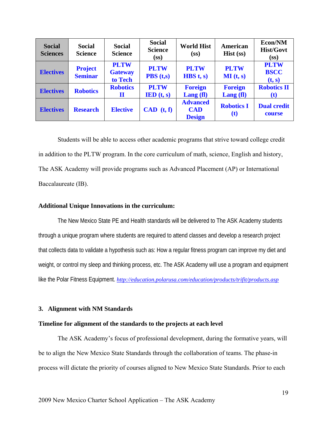| <b>Social</b><br><b>Sciences</b> | <b>Social</b><br><b>Science</b>  | <b>Social</b><br><b>Science</b>          | <b>Social</b><br><b>Science</b><br>(s <sub>s</sub> )  | <b>World Hist</b><br>(s <sub>s</sub> )         | American<br>$Hist$ (ss)                          | Econ/NM<br><b>Hist/Govt</b><br>(s <sub>s</sub> ) |
|----------------------------------|----------------------------------|------------------------------------------|-------------------------------------------------------|------------------------------------------------|--------------------------------------------------|--------------------------------------------------|
| <b>Electives</b>                 | <b>Project</b><br><b>Seminar</b> | <b>PLTW</b><br><b>Gateway</b><br>to Tech | <b>PLTW</b><br>$\overline{PBS}$ (t,s)                 | <b>PLTW</b><br>HBS t, s)                       | <b>PLTW</b><br>MI(t, s)                          | <b>PLTW</b><br><b>BSCC</b><br>(t, s)             |
| <b>Electives</b>                 | <b>Robotics</b>                  | <b>Robotics</b><br>П                     | <b>PLTW</b><br>$\mathbf{IED}(\mathbf{t}, \mathbf{s})$ | <b>Foreign</b><br>$\text{Lang}(\text{fl})$     | <b>Foreign</b><br>$\text{Lang}(\text{fl})$       | <b>Robotics II</b><br>(t)                        |
| <b>Electives</b>                 | <b>Research</b>                  | <b>Elective</b>                          | CAD (t, f)                                            | <b>Advanced</b><br><b>CAD</b><br><b>Design</b> | <b>Robotics I</b><br>$\left( \mathbf{t} \right)$ | <b>Dual credit</b><br>course                     |

Students will be able to access other academic programs that strive toward college credit in addition to the PLTW program. In the core curriculum of math, science, English and history, The ASK Academy will provide programs such as Advanced Placement (AP) or International Baccalaureate (IB).

#### **Additional Unique Innovations in the curriculum:**

The New Mexico State PE and Health standards will be delivered to The ASK Academy students through a unique program where students are required to attend classes and develop a research project that collects data to validate a hypothesis such as: How a regular fitness program can improve my diet and weight, or control my sleep and thinking process, etc. The ASK Academy will use a program and equipment like the Polar Fitness Equipment. *http://education.polarusa.com/education/products/trifit/products.asp*

#### **3. Alignment with NM Standards**

#### **Timeline for alignment of the standards to the projects at each level**

The ASK Academy's focus of professional development, during the formative years, will be to align the New Mexico State Standards through the collaboration of teams. The phase-in process will dictate the priority of courses aligned to New Mexico State Standards. Prior to each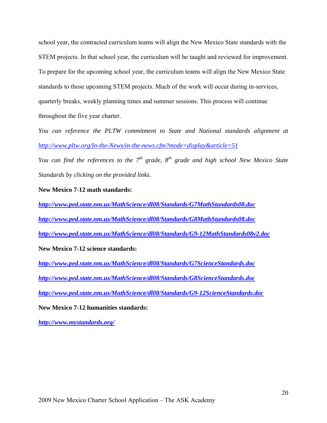school year, the contracted curriculum teams will align the New Mexico State standards with the STEM projects. In that school year, the curriculum will be taught and reviewed for improvement. To prepare for the upcoming school year, the curriculum teams will align the New Mexico State standards to those upcoming STEM projects. Much of the work will occur during in-services, quarterly breaks, weekly planning times and summer sessions. This process will continue throughout the five year charter.

*You can reference the PLTW commitment to State and National standards alignment at http://www.pltw.org/In-the-News/in-the-news.cfm?mode=display&article=51* 

*You can find the references to the 7<sup>th</sup> grade, 8<sup>th</sup> grade and high school New Mexico State Standards by clicking on the provided links.* 

#### **New Mexico 7-12 math standards:**

*http://www.ped.state.nm.us/MathScience/dl08/Standards/G7MathStandards08.doc* *http://www.ped.state.nm.us/MathScience/dl08/Standards/G8MathStandards08.doc* *http://www.ped.state.nm.us/MathScience/dl08/Standards/G9-12MathStandards08v2.doc*

**New Mexico 7-12 science standards:** 

*http://www.ped.state.nm.us/MathScience/dl08/Standards/G7ScienceStandards.doc* *http://www.ped.state.nm.us/MathScience/dl08/Standards/G8ScienceStandards.doc* *http://www.ped.state.nm.us/MathScience/dl08/Standards/G9-12ScienceStandards.doc*

**New Mexico 7-12 humanities standards:** 

*http://www.mystandards.org/*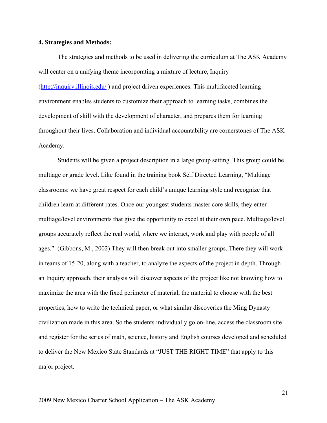#### **4. Strategies and Methods:**

The strategies and methods to be used in delivering the curriculum at The ASK Academy will center on a unifying theme incorporating a mixture of lecture, Inquiry (http://inquiry.illinois.edu/ ) and project driven experiences. This multifaceted learning environment enables students to customize their approach to learning tasks, combines the development of skill with the development of character, and prepares them for learning throughout their lives. Collaboration and individual accountability are cornerstones of The ASK Academy.

Students will be given a project description in a large group setting. This group could be multiage or grade level. Like found in the training book Self Directed Learning, "Multiage classrooms: we have great respect for each child's unique learning style and recognize that children learn at different rates. Once our youngest students master core skills, they enter multiage/level environments that give the opportunity to excel at their own pace. Multiage/level groups accurately reflect the real world, where we interact, work and play with people of all ages." (Gibbons, M., 2002) They will then break out into smaller groups. There they will work in teams of 15-20, along with a teacher, to analyze the aspects of the project in depth. Through an Inquiry approach, their analysis will discover aspects of the project like not knowing how to maximize the area with the fixed perimeter of material, the material to choose with the best properties, how to write the technical paper, or what similar discoveries the Ming Dynasty civilization made in this area. So the students individually go on-line, access the classroom site and register for the series of math, science, history and English courses developed and scheduled to deliver the New Mexico State Standards at "JUST THE RIGHT TIME" that apply to this major project.

21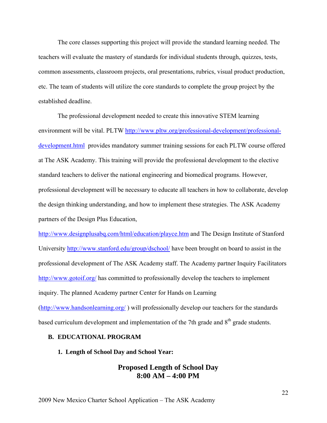The core classes supporting this project will provide the standard learning needed. The teachers will evaluate the mastery of standards for individual students through, quizzes, tests, common assessments, classroom projects, oral presentations, rubrics, visual product production, etc. The team of students will utilize the core standards to complete the group project by the established deadline.

The professional development needed to create this innovative STEM learning environment will be vital. PLTW http://www.pltw.org/professional-development/professionaldevelopment.html provides mandatory summer training sessions for each PLTW course offered at The ASK Academy. This training will provide the professional development to the elective standard teachers to deliver the national engineering and biomedical programs. However, professional development will be necessary to educate all teachers in how to collaborate, develop the design thinking understanding, and how to implement these strategies. The ASK Academy partners of the Design Plus Education,

http://www.designplusabq.com/html/education/playce.htm and The Design Institute of Stanford University http://www.stanford.edu/group/dschool/ have been brought on board to assist in the professional development of The ASK Academy staff. The Academy partner Inquiry Facilitators http://www.gotoif.org/ has committed to professionally develop the teachers to implement inquiry. The planned Academy partner Center for Hands on Learning (http://www.handsonlearning.org/ ) will professionally develop our teachers for the standards based curriculum development and implementation of the 7th grade and 8<sup>th</sup> grade students.

#### **B. EDUCATIONAL PROGRAM**

#### **1. Length of School Day and School Year:**

## **Proposed Length of School Day 8:00 AM – 4:00 PM**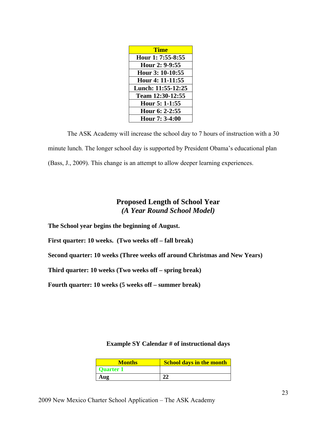| Time               |
|--------------------|
| Hour 1: 7:55-8:55  |
| Hour 2: 9-9:55     |
| Hour 3: 10-10:55   |
| Hour 4: 11-11:55   |
| Lunch: 11:55-12:25 |
| Team 12:30-12:55   |
| Hour 5: 1-1:55     |
| Hour 6: 2-2:55     |
| Hour 7: 3-4:00     |

The ASK Academy will increase the school day to 7 hours of instruction with a 30 minute lunch. The longer school day is supported by President Obama's educational plan (Bass, J., 2009). This change is an attempt to allow deeper learning experiences.

# **Proposed Length of School Year**  *(A Year Round School Model)*

**The School year begins the beginning of August.** 

**First quarter: 10 weeks. (Two weeks off – fall break)** 

**Second quarter: 10 weeks (Three weeks off around Christmas and New Years)** 

**Third quarter: 10 weeks (Two weeks off – spring break)** 

**Fourth quarter: 10 weeks (5 weeks off – summer break)** 

## **Example SY Calendar # of instructional days**

| <b>Months</b>    | <b>School days in the month</b> |
|------------------|---------------------------------|
| <b>Quarter 1</b> |                                 |
| Aug              | າາ                              |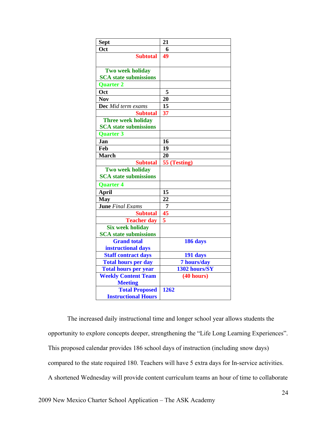| <b>Sept</b>                  | 21              |
|------------------------------|-----------------|
| Oct                          | 6               |
| <b>Subtotal</b>              | 49              |
|                              |                 |
| Two week holiday             |                 |
| <b>SCA</b> state submissions |                 |
| <b>Quarter 2</b>             |                 |
| Oct                          | 5               |
| <b>Nov</b>                   | 20              |
| Dec Mid term exams           | 15              |
| <b>Subtotal</b>              | 37              |
| <b>Three week holiday</b>    |                 |
| <b>SCA</b> state submissions |                 |
| <b>Ouarter 3</b>             |                 |
| Jan                          | 16              |
| Feb                          | 19              |
| <b>March</b>                 | 20              |
| <b>Subtotal</b>              | 55 (Testing)    |
| <b>Two week holiday</b>      |                 |
| <b>SCA</b> state submissions |                 |
| <b>Quarter 4</b>             |                 |
| <b>April</b>                 | 15              |
| <b>May</b>                   | $\overline{22}$ |
| <b>June</b> Final Exams      | $\overline{7}$  |
| <b>Subtotal</b>              | 45              |
| <b>Teacher day</b>           | 5               |
| <b>Six week holiday</b>      |                 |
| <b>SCA</b> state submissions |                 |
| <b>Grand total</b>           | 186 days        |
| instructional days           |                 |
| <b>Staff contract days</b>   | 191 days        |
| <b>Total hours per day</b>   | 7 hours/day     |
| <b>Total hours per year</b>  | 1302 hours/SY   |
| <b>Weekly Content Team</b>   | (40 hours)      |
| <b>Meeting</b>               |                 |
| <b>Total Proposed</b>        | 1262            |
| <b>Instructional Hours</b>   |                 |

The increased daily instructional time and longer school year allows students the opportunity to explore concepts deeper, strengthening the "Life Long Learning Experiences". This proposed calendar provides 186 school days of instruction (including snow days) compared to the state required 180. Teachers will have 5 extra days for In-service activities. A shortened Wednesday will provide content curriculum teams an hour of time to collaborate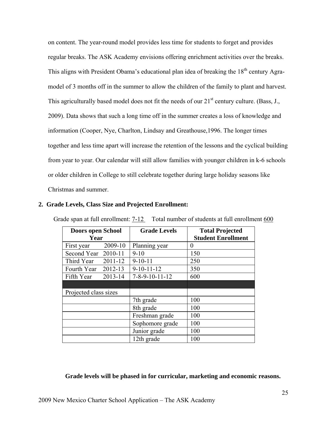on content. The year-round model provides less time for students to forget and provides regular breaks. The ASK Academy envisions offering enrichment activities over the breaks. This aligns with President Obama's educational plan idea of breaking the 18<sup>th</sup> century Agramodel of 3 months off in the summer to allow the children of the family to plant and harvest. This agriculturally based model does not fit the needs of our  $21<sup>st</sup>$  century culture. (Bass, J., 2009). Data shows that such a long time off in the summer creates a loss of knowledge and information (Cooper, Nye, Charlton, Lindsay and Greathouse,1996. The longer times together and less time apart will increase the retention of the lessons and the cyclical building from year to year. Our calendar will still allow families with younger children in k-6 schools or older children in College to still celebrate together during large holiday seasons like Christmas and summer.

| Doors open School     |             | <b>Grade Levels</b>        | <b>Total Projected</b>    |
|-----------------------|-------------|----------------------------|---------------------------|
| Year                  |             |                            | <b>Student Enrollment</b> |
| First year            | 2009-10     | Planning year              | $\theta$                  |
| Second Year 2010-11   |             | $9-10$                     | 150                       |
| Third Year $2011-12$  |             | $9-10-11$                  | 250                       |
| Fourth Year $2012-13$ |             | $9-10-11-12$               | 350                       |
| Fifth Year            | $2013 - 14$ | $7 - 8 - 9 - 10 - 11 - 12$ | 600                       |
|                       |             |                            |                           |
| Projected class sizes |             |                            |                           |
|                       |             | 7th grade                  | 100                       |
|                       |             | 8th grade                  | 100                       |
|                       |             | Freshman grade             | 100                       |
|                       |             | Sophomore grade            | 100                       |
|                       |             | Junior grade               | 100                       |
|                       |             | 12th grade                 | 100                       |

#### **2. Grade Levels, Class Size and Projected Enrollment:**

#### **Grade levels will be phased in for curricular, marketing and economic reasons.**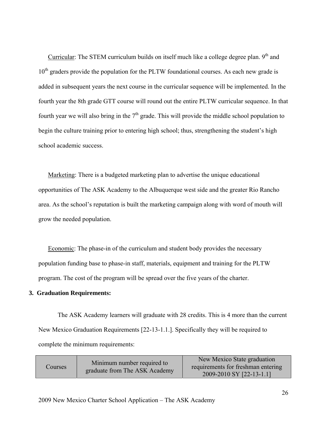Curricular: The STEM curriculum builds on itself much like a college degree plan.  $9<sup>th</sup>$  and  $10<sup>th</sup>$  graders provide the population for the PLTW foundational courses. As each new grade is added in subsequent years the next course in the curricular sequence will be implemented. In the fourth year the 8th grade GTT course will round out the entire PLTW curricular sequence. In that fourth year we will also bring in the  $7<sup>th</sup>$  grade. This will provide the middle school population to begin the culture training prior to entering high school; thus, strengthening the student's high school academic success.

Marketing: There is a budgeted marketing plan to advertise the unique educational opportunities of The ASK Academy to the Albuquerque west side and the greater Rio Rancho area. As the school's reputation is built the marketing campaign along with word of mouth will grow the needed population.

Economic: The phase-in of the curriculum and student body provides the necessary population funding base to phase-in staff, materials, equipment and training for the PLTW program. The cost of the program will be spread over the five years of the charter.

#### **3. Graduation Requirements:**

The ASK Academy learners will graduate with 28 credits. This is 4 more than the current New Mexico Graduation Requirements [22-13-1.1.]. Specifically they will be required to complete the minimum requirements:

| Courses | Minimum number required to<br>graduate from The ASK Academy | New Mexico State graduation<br>requirements for freshman entering<br>2009-2010 SY [22-13-1.1] |
|---------|-------------------------------------------------------------|-----------------------------------------------------------------------------------------------|
|---------|-------------------------------------------------------------|-----------------------------------------------------------------------------------------------|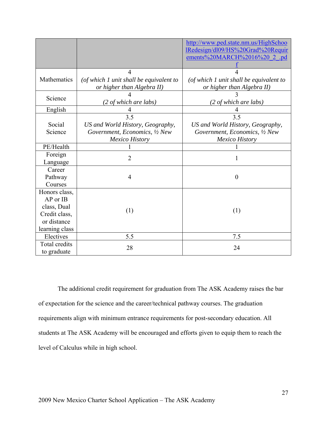|                                                                                            |                                                                                                    | http://www.ped.state.nm.us/HighSchoo<br>IRedesign/dl09/HS%20Grad%20Requir<br>ements%20MARCH%2016%20 2 .pd |
|--------------------------------------------------------------------------------------------|----------------------------------------------------------------------------------------------------|-----------------------------------------------------------------------------------------------------------|
| Mathematics                                                                                | 4<br>(of which 1 unit shall be equivalent to<br>or higher than Algebra II)                         | (of which 1 unit shall be equivalent to<br>or higher than Algebra II)                                     |
| Science                                                                                    | (2 of which are labs)                                                                              | (2 of which are labs)                                                                                     |
| English                                                                                    |                                                                                                    |                                                                                                           |
| Social<br>Science                                                                          | 3.5<br>US and World History, Geography,<br>Government, Economics, 1/2 New<br><b>Mexico History</b> | 3.5<br>US and World History, Geography,<br>Government, Economics, 1/2 New<br><b>Mexico History</b>        |
| PE/Health                                                                                  |                                                                                                    |                                                                                                           |
| Foreign<br>Language                                                                        | $\overline{2}$                                                                                     |                                                                                                           |
| Career<br>Pathway<br>Courses                                                               | $\overline{4}$                                                                                     | $\overline{0}$                                                                                            |
| Honors class,<br>AP or IB<br>class, Dual<br>Credit class,<br>or distance<br>learning class | (1)                                                                                                | (1)                                                                                                       |
| Electives                                                                                  | 5.5                                                                                                | 7.5                                                                                                       |
| Total credits<br>to graduate                                                               | 28                                                                                                 | 24                                                                                                        |

The additional credit requirement for graduation from The ASK Academy raises the bar of expectation for the science and the career/technical pathway courses. The graduation requirements align with minimum entrance requirements for post-secondary education. All students at The ASK Academy will be encouraged and efforts given to equip them to reach the level of Calculus while in high school.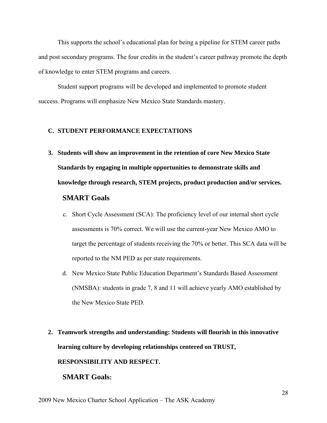This supports the school's educational plan for being a pipeline for STEM career paths and post secondary programs. The four credits in the student's career pathway promote the depth of knowledge to enter STEM programs and careers.

Student support programs will be developed and implemented to promote student success. Programs will emphasize New Mexico State Standards mastery.

#### **C. STUDENT PERFORMANCE EXPECTATIONS**

**3. Students will show an improvement in the retention of core New Mexico State Standards by engaging in multiple opportunities to demonstrate skills and knowledge through research, STEM projects, product production and/or services.** 

# **SMART Goals**

- c. Short Cycle Assessment (SCA): The proficiency level of our internal short cycle assessments is 70% correct. We will use the current-year New Mexico AMO to target the percentage of students receiving the 70% or better. This SCA data will be reported to the NM PED as per state requirements.
- d. New Mexico State Public Education Department's Standards Based Assessment (NMSBA): students in grade 7, 8 and 11 will achieve yearly AMO established by the New Mexico State PED.
- **2. Teamwork strengths and understanding: Students will flourish in this innovative learning culture by developing relationships centered on TRUST,**

## **RESPONSIBILITY AND RESPECT.**

## **SMART Goals:**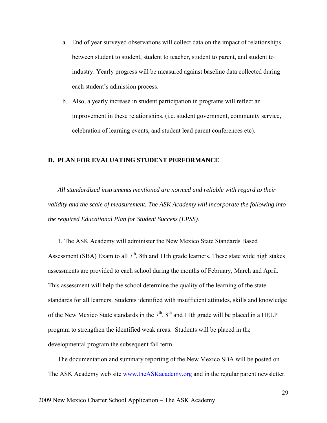- a. End of year surveyed observations will collect data on the impact of relationships between student to student, student to teacher, student to parent, and student to industry. Yearly progress will be measured against baseline data collected during each student's admission process.
- b. Also, a yearly increase in student participation in programs will reflect an improvement in these relationships. (i.e. student government, community service, celebration of learning events, and student lead parent conferences etc).

#### **D. PLAN FOR EVALUATING STUDENT PERFORMANCE**

*All standardized instruments mentioned are normed and reliable with regard to their validity and the scale of measurement. The ASK Academy will incorporate the following into the required Educational Plan for Student Success (EPSS).* 

1. The ASK Academy will administer the New Mexico State Standards Based Assessment (SBA) Exam to all  $7<sup>th</sup>$ , 8th and 11th grade learners. These state wide high stakes assessments are provided to each school during the months of February, March and April. This assessment will help the school determine the quality of the learning of the state standards for all learners. Students identified with insufficient attitudes, skills and knowledge of the New Mexico State standards in the  $7<sup>th</sup>$ ,  $8<sup>th</sup>$  and 11th grade will be placed in a HELP program to strengthen the identified weak areas. Students will be placed in the developmental program the subsequent fall term.

The documentation and summary reporting of the New Mexico SBA will be posted on The ASK Academy web site www.theASKacademy.org and in the regular parent newsletter.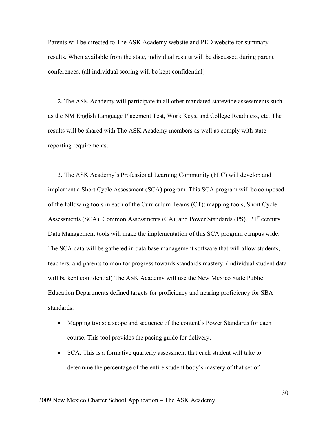Parents will be directed to The ASK Academy website and PED website for summary results. When available from the state, individual results will be discussed during parent conferences. (all individual scoring will be kept confidential)

2. The ASK Academy will participate in all other mandated statewide assessments such as the NM English Language Placement Test, Work Keys, and College Readiness, etc. The results will be shared with The ASK Academy members as well as comply with state reporting requirements.

3. The ASK Academy's Professional Learning Community (PLC) will develop and implement a Short Cycle Assessment (SCA) program. This SCA program will be composed of the following tools in each of the Curriculum Teams (CT): mapping tools, Short Cycle Assessments (SCA), Common Assessments (CA), and Power Standards (PS).  $21<sup>st</sup>$  century Data Management tools will make the implementation of this SCA program campus wide. The SCA data will be gathered in data base management software that will allow students, teachers, and parents to monitor progress towards standards mastery. (individual student data will be kept confidential) The ASK Academy will use the New Mexico State Public Education Departments defined targets for proficiency and nearing proficiency for SBA standards.

- Mapping tools: a scope and sequence of the content's Power Standards for each course. This tool provides the pacing guide for delivery.
- SCA: This is a formative quarterly assessment that each student will take to determine the percentage of the entire student body's mastery of that set of

30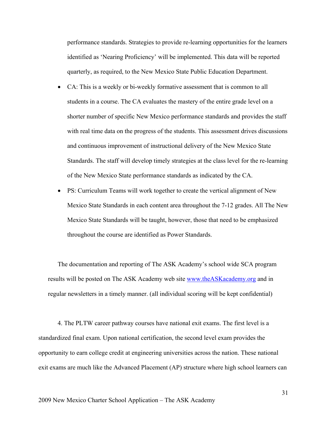performance standards. Strategies to provide re-learning opportunities for the learners identified as 'Nearing Proficiency' will be implemented. This data will be reported quarterly, as required, to the New Mexico State Public Education Department.

- CA: This is a weekly or bi-weekly formative assessment that is common to all students in a course. The CA evaluates the mastery of the entire grade level on a shorter number of specific New Mexico performance standards and provides the staff with real time data on the progress of the students. This assessment drives discussions and continuous improvement of instructional delivery of the New Mexico State Standards. The staff will develop timely strategies at the class level for the re-learning of the New Mexico State performance standards as indicated by the CA.
- PS: Curriculum Teams will work together to create the vertical alignment of New Mexico State Standards in each content area throughout the 7-12 grades. All The New Mexico State Standards will be taught, however, those that need to be emphasized throughout the course are identified as Power Standards.

The documentation and reporting of The ASK Academy's school wide SCA program results will be posted on The ASK Academy web site www.theASKacademy.org and in regular newsletters in a timely manner. (all individual scoring will be kept confidential)

4. The PLTW career pathway courses have national exit exams. The first level is a standardized final exam. Upon national certification, the second level exam provides the opportunity to earn college credit at engineering universities across the nation. These national exit exams are much like the Advanced Placement (AP) structure where high school learners can

31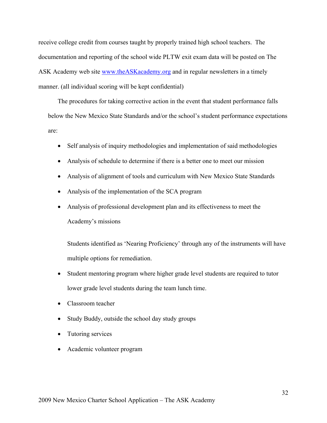receive college credit from courses taught by properly trained high school teachers. The documentation and reporting of the school wide PLTW exit exam data will be posted on The ASK Academy web site www.theASKacademy.org and in regular newsletters in a timely manner. (all individual scoring will be kept confidential)

The procedures for taking corrective action in the event that student performance falls below the New Mexico State Standards and/or the school's student performance expectations are:

- Self analysis of inquiry methodologies and implementation of said methodologies
- Analysis of schedule to determine if there is a better one to meet our mission
- Analysis of alignment of tools and curriculum with New Mexico State Standards
- Analysis of the implementation of the SCA program
- Analysis of professional development plan and its effectiveness to meet the Academy's missions

Students identified as 'Nearing Proficiency' through any of the instruments will have multiple options for remediation.

- Student mentoring program where higher grade level students are required to tutor lower grade level students during the team lunch time.
- Classroom teacher
- Study Buddy, outside the school day study groups
- Tutoring services
- Academic volunteer program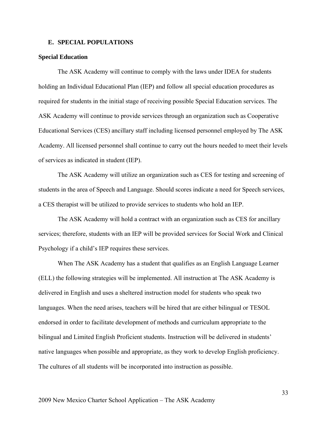#### **E. SPECIAL POPULATIONS**

#### **Special Education**

The ASK Academy will continue to comply with the laws under IDEA for students holding an Individual Educational Plan (IEP) and follow all special education procedures as required for students in the initial stage of receiving possible Special Education services. The ASK Academy will continue to provide services through an organization such as Cooperative Educational Services (CES) ancillary staff including licensed personnel employed by The ASK Academy. All licensed personnel shall continue to carry out the hours needed to meet their levels of services as indicated in student (IEP).

The ASK Academy will utilize an organization such as CES for testing and screening of students in the area of Speech and Language. Should scores indicate a need for Speech services, a CES therapist will be utilized to provide services to students who hold an IEP.

The ASK Academy will hold a contract with an organization such as CES for ancillary services; therefore, students with an IEP will be provided services for Social Work and Clinical Psychology if a child's IEP requires these services.

When The ASK Academy has a student that qualifies as an English Language Learner (ELL) the following strategies will be implemented. All instruction at The ASK Academy is delivered in English and uses a sheltered instruction model for students who speak two languages. When the need arises, teachers will be hired that are either bilingual or TESOL endorsed in order to facilitate development of methods and curriculum appropriate to the bilingual and Limited English Proficient students. Instruction will be delivered in students' native languages when possible and appropriate, as they work to develop English proficiency. The cultures of all students will be incorporated into instruction as possible.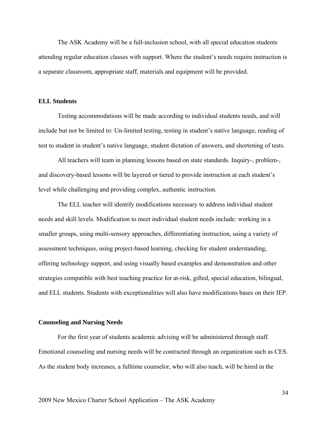The ASK Academy will be a full-inclusion school, with all special education students attending regular education classes with support. Where the student's needs require instruction is a separate classroom, appropriate staff, materials and equipment will be provided.

#### **ELL Students**

Testing accommodations will be made according to individual students needs, and will include but not be limited to: Un-limited testing, testing in student's native language, reading of test to student in student's native language, student dictation of answers, and shortening of tests.

All teachers will team in planning lessons based on state standards. Inquiry-, problem-, and discovery-based lessons will be layered or tiered to provide instruction at each student's level while challenging and providing complex, authentic instruction.

The ELL teacher will identify modifications necessary to address individual student needs and skill levels. Modification to meet individual student needs include: working in a smaller groups, using multi-sensory approaches, differentiating instruction, using a variety of assessment techniques, using project-based learning, checking for student understanding, offering technology support, and using visually based examples and demonstration and other strategies compatible with best teaching practice for at-risk, gifted, special education, bilingual, and ELL students. Students with exceptionalities will also have modifications bases on their IEP.

#### **Counseling and Nursing Needs**

For the first year of students academic advising will be administered through staff. Emotional counseling and nursing needs will be contracted through an organization such as CES. As the student body increases, a fulltime counselor, who will also teach, will be hired in the

34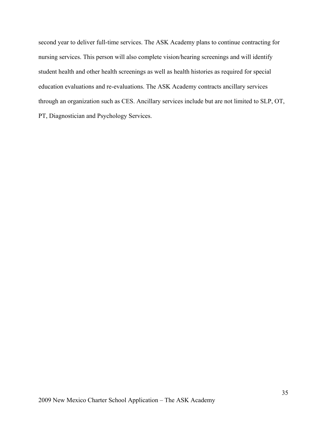second year to deliver full-time services. The ASK Academy plans to continue contracting for nursing services. This person will also complete vision/hearing screenings and will identify student health and other health screenings as well as health histories as required for special education evaluations and re-evaluations. The ASK Academy contracts ancillary services through an organization such as CES. Ancillary services include but are not limited to SLP, OT, PT, Diagnostician and Psychology Services.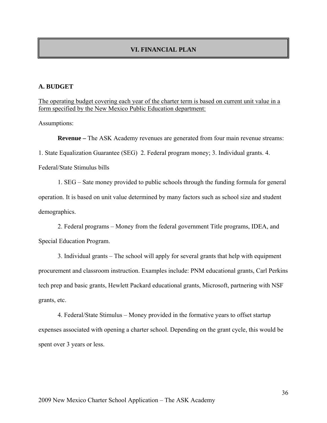## **VI. FINANCIAL PLAN**

## **A. BUDGET**

The operating budget covering each year of the charter term is based on current unit value in a form specified by the New Mexico Public Education department:

Assumptions:

**Revenue –** The ASK Academy revenues are generated from four main revenue streams: 1. State Equalization Guarantee (SEG) 2. Federal program money; 3. Individual grants. 4. Federal/State Stimulus bills

1. SEG – Sate money provided to public schools through the funding formula for general operation. It is based on unit value determined by many factors such as school size and student demographics.

2. Federal programs – Money from the federal government Title programs, IDEA, and Special Education Program.

3. Individual grants – The school will apply for several grants that help with equipment procurement and classroom instruction. Examples include: PNM educational grants, Carl Perkins tech prep and basic grants, Hewlett Packard educational grants, Microsoft, partnering with NSF grants, etc.

4. Federal/State Stimulus – Money provided in the formative years to offset startup expenses associated with opening a charter school. Depending on the grant cycle, this would be spent over 3 years or less.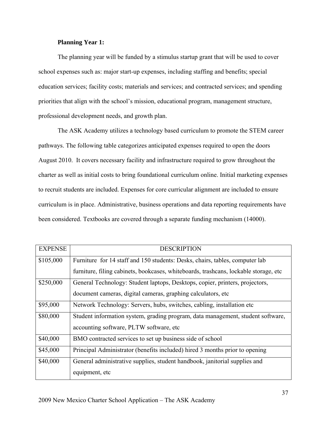## **Planning Year 1:**

The planning year will be funded by a stimulus startup grant that will be used to cover school expenses such as: major start-up expenses, including staffing and benefits; special education services; facility costs; materials and services; and contracted services; and spending priorities that align with the school's mission, educational program, management structure, professional development needs, and growth plan.

The ASK Academy utilizes a technology based curriculum to promote the STEM career pathways. The following table categorizes anticipated expenses required to open the doors August 2010. It covers necessary facility and infrastructure required to grow throughout the charter as well as initial costs to bring foundational curriculum online. Initial marketing expenses to recruit students are included. Expenses for core curricular alignment are included to ensure curriculum is in place. Administrative, business operations and data reporting requirements have been considered. Textbooks are covered through a separate funding mechanism (14000).

| <b>EXPENSE</b> | <b>DESCRIPTION</b>                                                                    |  |
|----------------|---------------------------------------------------------------------------------------|--|
| \$105,000      | Furniture for 14 staff and 150 students: Desks, chairs, tables, computer lab          |  |
|                | furniture, filing cabinets, bookcases, whiteboards, trashcans, lockable storage, etc. |  |
| \$250,000      | General Technology: Student laptops, Desktops, copier, printers, projectors,          |  |
|                | document cameras, digital cameras, graphing calculators, etc.                         |  |
| \$95,000       | Network Technology: Servers, hubs, switches, cabling, installation etc.               |  |
| \$80,000       | Student information system, grading program, data management, student software,       |  |
|                | accounting software, PLTW software, etc.                                              |  |
| \$40,000       | BMO contracted services to set up business side of school                             |  |
| \$45,000       | Principal Administrator (benefits included) hired 3 months prior to opening           |  |
| \$40,000       | General administrative supplies, student handbook, janitorial supplies and            |  |
|                | equipment, etc                                                                        |  |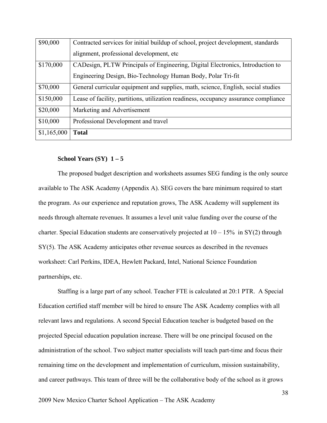| \$90,000    | Contracted services for initial buildup of school, project development, standards    |
|-------------|--------------------------------------------------------------------------------------|
|             | alignment, professional development, etc.                                            |
| \$170,000   | CADesign, PLTW Principals of Engineering, Digital Electronics, Introduction to       |
|             | Engineering Design, Bio-Technology Human Body, Polar Tri-fit                         |
| \$70,000    | General curricular equipment and supplies, math, science, English, social studies    |
| \$150,000   | Lease of facility, partitions, utilization readiness, occupancy assurance compliance |
| \$20,000    | Marketing and Advertisement                                                          |
| \$10,000    | Professional Development and travel                                                  |
| \$1,165,000 | <b>Total</b>                                                                         |

# **School Years (SY) 1 – 5**

The proposed budget description and worksheets assumes SEG funding is the only source available to The ASK Academy (Appendix A). SEG covers the bare minimum required to start the program. As our experience and reputation grows, The ASK Academy will supplement its needs through alternate revenues. It assumes a level unit value funding over the course of the charter. Special Education students are conservatively projected at  $10 - 15\%$  in SY(2) through SY(5). The ASK Academy anticipates other revenue sources as described in the revenues worksheet: Carl Perkins, IDEA, Hewlett Packard, Intel, National Science Foundation partnerships, etc.

Staffing is a large part of any school. Teacher FTE is calculated at 20:1 PTR. A Special Education certified staff member will be hired to ensure The ASK Academy complies with all relevant laws and regulations. A second Special Education teacher is budgeted based on the projected Special education population increase. There will be one principal focused on the administration of the school. Two subject matter specialists will teach part-time and focus their remaining time on the development and implementation of curriculum, mission sustainability, and career pathways. This team of three will be the collaborative body of the school as it grows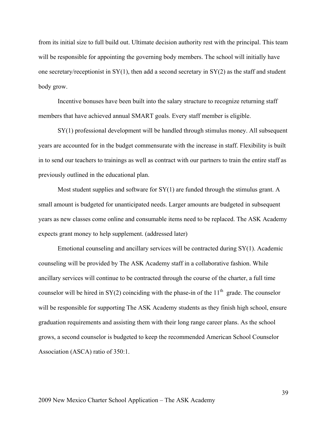from its initial size to full build out. Ultimate decision authority rest with the principal. This team will be responsible for appointing the governing body members. The school will initially have one secretary/receptionist in  $SY(1)$ , then add a second secretary in  $SY(2)$  as the staff and student body grow.

Incentive bonuses have been built into the salary structure to recognize returning staff members that have achieved annual SMART goals. Every staff member is eligible.

SY(1) professional development will be handled through stimulus money. All subsequent years are accounted for in the budget commensurate with the increase in staff. Flexibility is built in to send our teachers to trainings as well as contract with our partners to train the entire staff as previously outlined in the educational plan.

Most student supplies and software for  $SY(1)$  are funded through the stimulus grant. A small amount is budgeted for unanticipated needs. Larger amounts are budgeted in subsequent years as new classes come online and consumable items need to be replaced. The ASK Academy expects grant money to help supplement. (addressed later)

Emotional counseling and ancillary services will be contracted during SY(1). Academic counseling will be provided by The ASK Academy staff in a collaborative fashion. While ancillary services will continue to be contracted through the course of the charter, a full time counselor will be hired in  $SY(2)$  coinciding with the phase-in of the 11<sup>th</sup> grade. The counselor will be responsible for supporting The ASK Academy students as they finish high school, ensure graduation requirements and assisting them with their long range career plans. As the school grows, a second counselor is budgeted to keep the recommended American School Counselor Association (ASCA) ratio of 350:1.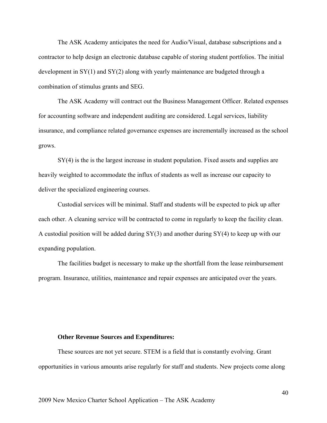The ASK Academy anticipates the need for Audio/Visual, database subscriptions and a contractor to help design an electronic database capable of storing student portfolios. The initial development in SY(1) and SY(2) along with yearly maintenance are budgeted through a combination of stimulus grants and SEG.

The ASK Academy will contract out the Business Management Officer. Related expenses for accounting software and independent auditing are considered. Legal services, liability insurance, and compliance related governance expenses are incrementally increased as the school grows.

SY(4) is the is the largest increase in student population. Fixed assets and supplies are heavily weighted to accommodate the influx of students as well as increase our capacity to deliver the specialized engineering courses.

Custodial services will be minimal. Staff and students will be expected to pick up after each other. A cleaning service will be contracted to come in regularly to keep the facility clean. A custodial position will be added during SY(3) and another during SY(4) to keep up with our expanding population.

The facilities budget is necessary to make up the shortfall from the lease reimbursement program. Insurance, utilities, maintenance and repair expenses are anticipated over the years.

#### **Other Revenue Sources and Expenditures:**

These sources are not yet secure. STEM is a field that is constantly evolving. Grant opportunities in various amounts arise regularly for staff and students. New projects come along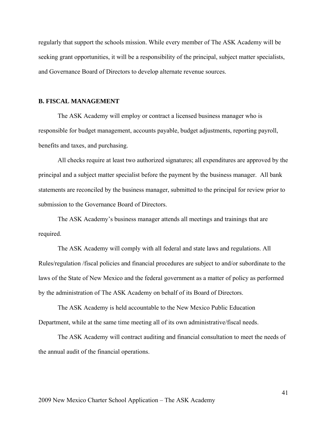regularly that support the schools mission. While every member of The ASK Academy will be seeking grant opportunities, it will be a responsibility of the principal, subject matter specialists, and Governance Board of Directors to develop alternate revenue sources.

#### **B. FISCAL MANAGEMENT**

The ASK Academy will employ or contract a licensed business manager who is responsible for budget management, accounts payable, budget adjustments, reporting payroll, benefits and taxes, and purchasing.

All checks require at least two authorized signatures; all expenditures are approved by the principal and a subject matter specialist before the payment by the business manager. All bank statements are reconciled by the business manager, submitted to the principal for review prior to submission to the Governance Board of Directors.

The ASK Academy's business manager attends all meetings and trainings that are required.

The ASK Academy will comply with all federal and state laws and regulations. All Rules/regulation /fiscal policies and financial procedures are subject to and/or subordinate to the laws of the State of New Mexico and the federal government as a matter of policy as performed by the administration of The ASK Academy on behalf of its Board of Directors.

The ASK Academy is held accountable to the New Mexico Public Education Department, while at the same time meeting all of its own administrative/fiscal needs.

The ASK Academy will contract auditing and financial consultation to meet the needs of the annual audit of the financial operations.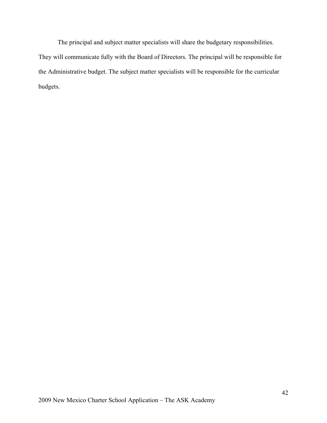The principal and subject matter specialists will share the budgetary responsibilities. They will communicate fully with the Board of Directors. The principal will be responsible for the Administrative budget. The subject matter specialists will be responsible for the curricular budgets.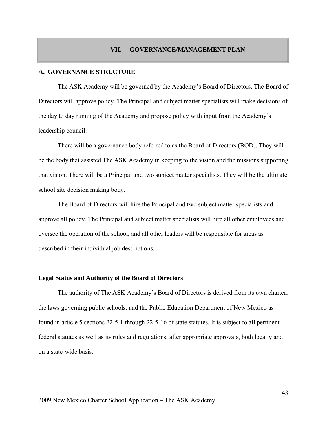#### **VII. GOVERNANCE/MANAGEMENT PLAN**

### **A. GOVERNANCE STRUCTURE**

The ASK Academy will be governed by the Academy's Board of Directors. The Board of Directors will approve policy. The Principal and subject matter specialists will make decisions of the day to day running of the Academy and propose policy with input from the Academy's leadership council.

There will be a governance body referred to as the Board of Directors (BOD). They will be the body that assisted The ASK Academy in keeping to the vision and the missions supporting that vision. There will be a Principal and two subject matter specialists. They will be the ultimate school site decision making body.

The Board of Directors will hire the Principal and two subject matter specialists and approve all policy. The Principal and subject matter specialists will hire all other employees and oversee the operation of the school, and all other leaders will be responsible for areas as described in their individual job descriptions.

#### **Legal Status and Authority of the Board of Directors**

The authority of The ASK Academy's Board of Directors is derived from its own charter, the laws governing public schools, and the Public Education Department of New Mexico as found in article 5 sections 22-5-1 through 22-5-16 of state statutes. It is subject to all pertinent federal statutes as well as its rules and regulations, after appropriate approvals, both locally and on a state-wide basis.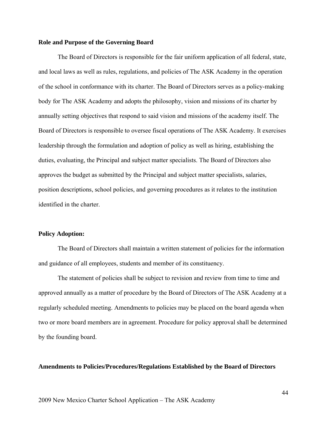#### **Role and Purpose of the Governing Board**

The Board of Directors is responsible for the fair uniform application of all federal, state, and local laws as well as rules, regulations, and policies of The ASK Academy in the operation of the school in conformance with its charter. The Board of Directors serves as a policy-making body for The ASK Academy and adopts the philosophy, vision and missions of its charter by annually setting objectives that respond to said vision and missions of the academy itself. The Board of Directors is responsible to oversee fiscal operations of The ASK Academy. It exercises leadership through the formulation and adoption of policy as well as hiring, establishing the duties, evaluating, the Principal and subject matter specialists. The Board of Directors also approves the budget as submitted by the Principal and subject matter specialists, salaries, position descriptions, school policies, and governing procedures as it relates to the institution identified in the charter.

#### **Policy Adoption:**

The Board of Directors shall maintain a written statement of policies for the information and guidance of all employees, students and member of its constituency.

The statement of policies shall be subject to revision and review from time to time and approved annually as a matter of procedure by the Board of Directors of The ASK Academy at a regularly scheduled meeting. Amendments to policies may be placed on the board agenda when two or more board members are in agreement. Procedure for policy approval shall be determined by the founding board.

#### **Amendments to Policies/Procedures/Regulations Established by the Board of Directors**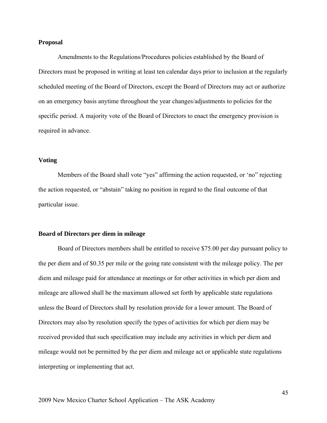#### **Proposal**

Amendments to the Regulations/Procedures policies established by the Board of Directors must be proposed in writing at least ten calendar days prior to inclusion at the regularly scheduled meeting of the Board of Directors, except the Board of Directors may act or authorize on an emergency basis anytime throughout the year changes/adjustments to policies for the specific period. A majority vote of the Board of Directors to enact the emergency provision is required in advance.

### **Voting**

Members of the Board shall vote "yes" affirming the action requested, or 'no" rejecting the action requested, or "abstain" taking no position in regard to the final outcome of that particular issue.

#### **Board of Directors per diem in mileage**

Board of Directors members shall be entitled to receive \$75.00 per day pursuant policy to the per diem and of \$0.35 per mile or the going rate consistent with the mileage policy. The per diem and mileage paid for attendance at meetings or for other activities in which per diem and mileage are allowed shall be the maximum allowed set forth by applicable state regulations unless the Board of Directors shall by resolution provide for a lower amount. The Board of Directors may also by resolution specify the types of activities for which per diem may be received provided that such specification may include any activities in which per diem and mileage would not be permitted by the per diem and mileage act or applicable state regulations interpreting or implementing that act.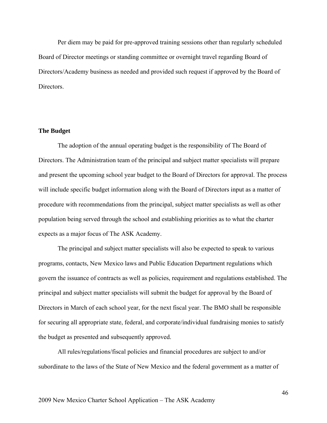Per diem may be paid for pre-approved training sessions other than regularly scheduled Board of Director meetings or standing committee or overnight travel regarding Board of Directors/Academy business as needed and provided such request if approved by the Board of **Directors** 

#### **The Budget**

The adoption of the annual operating budget is the responsibility of The Board of Directors. The Administration team of the principal and subject matter specialists will prepare and present the upcoming school year budget to the Board of Directors for approval. The process will include specific budget information along with the Board of Directors input as a matter of procedure with recommendations from the principal, subject matter specialists as well as other population being served through the school and establishing priorities as to what the charter expects as a major focus of The ASK Academy.

The principal and subject matter specialists will also be expected to speak to various programs, contacts, New Mexico laws and Public Education Department regulations which govern the issuance of contracts as well as policies, requirement and regulations established. The principal and subject matter specialists will submit the budget for approval by the Board of Directors in March of each school year, for the next fiscal year. The BMO shall be responsible for securing all appropriate state, federal, and corporate/individual fundraising monies to satisfy the budget as presented and subsequently approved.

All rules/regulations/fiscal policies and financial procedures are subject to and/or subordinate to the laws of the State of New Mexico and the federal government as a matter of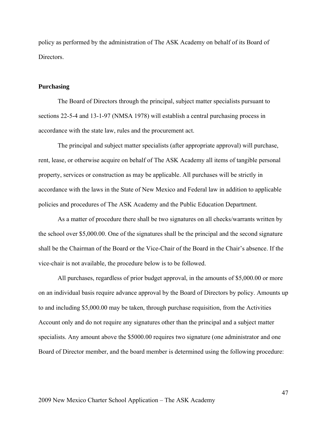policy as performed by the administration of The ASK Academy on behalf of its Board of Directors.

#### **Purchasing**

The Board of Directors through the principal, subject matter specialists pursuant to sections 22-5-4 and 13-1-97 (NMSA 1978) will establish a central purchasing process in accordance with the state law, rules and the procurement act.

The principal and subject matter specialists (after appropriate approval) will purchase, rent, lease, or otherwise acquire on behalf of The ASK Academy all items of tangible personal property, services or construction as may be applicable. All purchases will be strictly in accordance with the laws in the State of New Mexico and Federal law in addition to applicable policies and procedures of The ASK Academy and the Public Education Department.

As a matter of procedure there shall be two signatures on all checks/warrants written by the school over \$5,000.00. One of the signatures shall be the principal and the second signature shall be the Chairman of the Board or the Vice-Chair of the Board in the Chair's absence. If the vice-chair is not available, the procedure below is to be followed.

All purchases, regardless of prior budget approval, in the amounts of \$5,000.00 or more on an individual basis require advance approval by the Board of Directors by policy. Amounts up to and including \$5,000.00 may be taken, through purchase requisition, from the Activities Account only and do not require any signatures other than the principal and a subject matter specialists. Any amount above the \$5000.00 requires two signature (one administrator and one Board of Director member, and the board member is determined using the following procedure: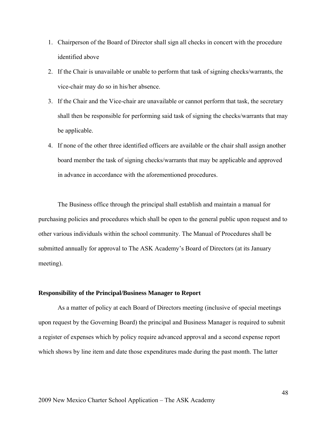- 1. Chairperson of the Board of Director shall sign all checks in concert with the procedure identified above
- 2. If the Chair is unavailable or unable to perform that task of signing checks/warrants, the vice-chair may do so in his/her absence.
- 3. If the Chair and the Vice-chair are unavailable or cannot perform that task, the secretary shall then be responsible for performing said task of signing the checks/warrants that may be applicable.
- 4. If none of the other three identified officers are available or the chair shall assign another board member the task of signing checks/warrants that may be applicable and approved in advance in accordance with the aforementioned procedures.

The Business office through the principal shall establish and maintain a manual for purchasing policies and procedures which shall be open to the general public upon request and to other various individuals within the school community. The Manual of Procedures shall be submitted annually for approval to The ASK Academy's Board of Directors (at its January meeting).

#### **Responsibility of the Principal/Business Manager to Report**

As a matter of policy at each Board of Directors meeting (inclusive of special meetings upon request by the Governing Board) the principal and Business Manager is required to submit a register of expenses which by policy require advanced approval and a second expense report which shows by line item and date those expenditures made during the past month. The latter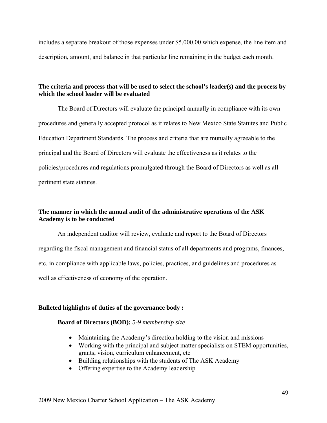includes a separate breakout of those expenses under \$5,000.00 which expense, the line item and description, amount, and balance in that particular line remaining in the budget each month.

# **The criteria and process that will be used to select the school's leader(s) and the process by which the school leader will be evaluated**

The Board of Directors will evaluate the principal annually in compliance with its own procedures and generally accepted protocol as it relates to New Mexico State Statutes and Public Education Department Standards. The process and criteria that are mutually agreeable to the principal and the Board of Directors will evaluate the effectiveness as it relates to the policies/procedures and regulations promulgated through the Board of Directors as well as all pertinent state statutes.

# **The manner in which the annual audit of the administrative operations of the ASK Academy is to be conducted**

An independent auditor will review, evaluate and report to the Board of Directors regarding the fiscal management and financial status of all departments and programs, finances, etc. in compliance with applicable laws, policies, practices, and guidelines and procedures as well as effectiveness of economy of the operation.

# **Bulleted highlights of duties of the governance body :**

# **Board of Directors (BOD):** *5-9 membership size*

- Maintaining the Academy's direction holding to the vision and missions
- Working with the principal and subject matter specialists on STEM opportunities, grants, vision, curriculum enhancement, etc
- Building relationships with the students of The ASK Academy
- Offering expertise to the Academy leadership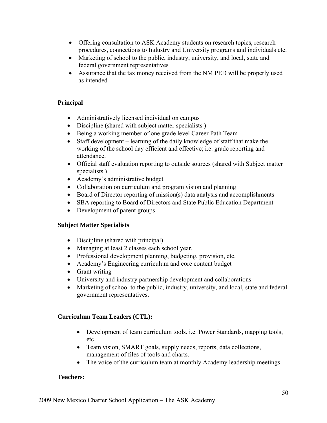- Offering consultation to ASK Academy students on research topics, research procedures, connections to Industry and University programs and individuals etc.
- Marketing of school to the public, industry, university, and local, state and federal government representatives
- Assurance that the tax money received from the NM PED will be properly used as intended

# **Principal**

- Administratively licensed individual on campus
- Discipline (shared with subject matter specialists)
- Being a working member of one grade level Career Path Team
- Staff development learning of the daily knowledge of staff that make the working of the school day efficient and effective; i.e. grade reporting and attendance.
- Official staff evaluation reporting to outside sources (shared with Subject matter specialists )
- Academy's administrative budget
- Collaboration on curriculum and program vision and planning
- Board of Director reporting of mission(s) data analysis and accomplishments
- SBA reporting to Board of Directors and State Public Education Department
- Development of parent groups

# **Subject Matter Specialists**

- Discipline (shared with principal)
- Managing at least 2 classes each school year.
- Professional development planning, budgeting, provision, etc.
- Academy's Engineering curriculum and core content budget
- Grant writing
- University and industry partnership development and collaborations
- Marketing of school to the public, industry, university, and local, state and federal government representatives.

# **Curriculum Team Leaders (CTL):**

- Development of team curriculum tools. i.e. Power Standards, mapping tools, etc
- Team vision, SMART goals, supply needs, reports, data collections, management of files of tools and charts.
- The voice of the curriculum team at monthly Academy leadership meetings

# **Teachers:**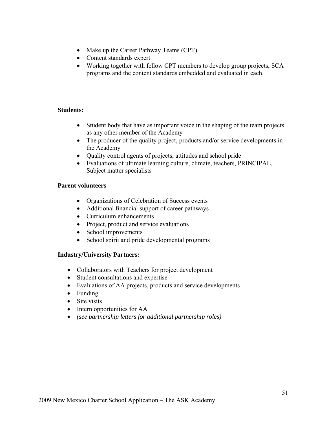- Make up the Career Pathway Teams (CPT)
- Content standards expert
- Working together with fellow CPT members to develop group projects, SCA programs and the content standards embedded and evaluated in each.

# **Students:**

- Student body that have as important voice in the shaping of the team projects as any other member of the Academy
- The producer of the quality project, products and/or service developments in the Academy
- Quality control agents of projects, attitudes and school pride
- Evaluations of ultimate learning culture, climate, teachers, PRINCIPAL, Subject matter specialists

# **Parent volunteers**

- Organizations of Celebration of Success events
- Additional financial support of career pathways
- Curriculum enhancements
- Project, product and service evaluations
- School improvements
- School spirit and pride developmental programs

# **Industry/University Partners:**

- Collaborators with Teachers for project development
- Student consultations and expertise
- Evaluations of AA projects, products and service developments
- Funding
- Site visits
- Intern opportunities for AA
- *(see partnership letters for additional partnership roles)*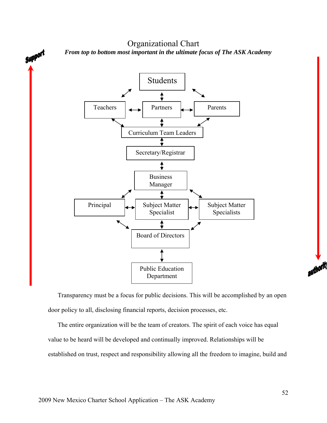Organizational Chart Support *From top to bottom most important in the ultimate focus of The ASK Academy*  Students Partners Parents Teachers Curriculum Team Leaders Secretary/Registrar ↨ Business Manager Principal Subject Matter Subject Matter Specialist Specialists Board of Directors

Transparency must be a focus for public decisions. This will be accomplished by an open door policy to all, disclosing financial reports, decision processes, etc.

Public Education Department

The entire organization will be the team of creators. The spirit of each voice has equal value to be heard will be developed and continually improved. Relationships will be established on trust, respect and responsibility allowing all the freedom to imagine, build and authority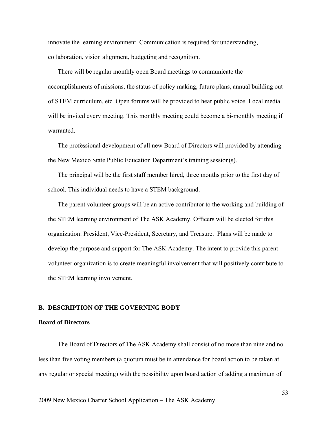innovate the learning environment. Communication is required for understanding, collaboration, vision alignment, budgeting and recognition.

There will be regular monthly open Board meetings to communicate the accomplishments of missions, the status of policy making, future plans, annual building out of STEM curriculum, etc. Open forums will be provided to hear public voice. Local media will be invited every meeting. This monthly meeting could become a bi-monthly meeting if warranted.

The professional development of all new Board of Directors will provided by attending the New Mexico State Public Education Department's training session(s).

The principal will be the first staff member hired, three months prior to the first day of school. This individual needs to have a STEM background.

The parent volunteer groups will be an active contributor to the working and building of the STEM learning environment of The ASK Academy. Officers will be elected for this organization: President, Vice-President, Secretary, and Treasure. Plans will be made to develop the purpose and support for The ASK Academy. The intent to provide this parent volunteer organization is to create meaningful involvement that will positively contribute to the STEM learning involvement.

#### **B. DESCRIPTION OF THE GOVERNING BODY**

#### **Board of Directors**

The Board of Directors of The ASK Academy shall consist of no more than nine and no less than five voting members (a quorum must be in attendance for board action to be taken at any regular or special meeting) with the possibility upon board action of adding a maximum of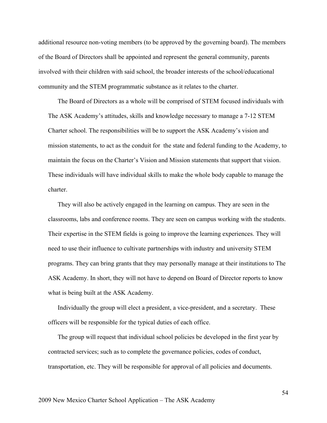additional resource non-voting members (to be approved by the governing board). The members of the Board of Directors shall be appointed and represent the general community, parents involved with their children with said school, the broader interests of the school/educational community and the STEM programmatic substance as it relates to the charter.

The Board of Directors as a whole will be comprised of STEM focused individuals with The ASK Academy's attitudes, skills and knowledge necessary to manage a 7-12 STEM Charter school. The responsibilities will be to support the ASK Academy's vision and mission statements, to act as the conduit for the state and federal funding to the Academy, to maintain the focus on the Charter's Vision and Mission statements that support that vision. These individuals will have individual skills to make the whole body capable to manage the charter.

They will also be actively engaged in the learning on campus. They are seen in the classrooms, labs and conference rooms. They are seen on campus working with the students. Their expertise in the STEM fields is going to improve the learning experiences. They will need to use their influence to cultivate partnerships with industry and university STEM programs. They can bring grants that they may personally manage at their institutions to The ASK Academy. In short, they will not have to depend on Board of Director reports to know what is being built at the ASK Academy.

Individually the group will elect a president, a vice-president, and a secretary. These officers will be responsible for the typical duties of each office.

The group will request that individual school policies be developed in the first year by contracted services; such as to complete the governance policies, codes of conduct, transportation, etc. They will be responsible for approval of all policies and documents.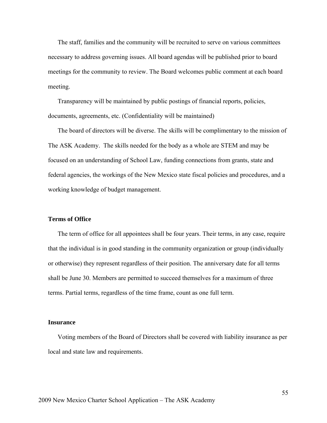The staff, families and the community will be recruited to serve on various committees necessary to address governing issues. All board agendas will be published prior to board meetings for the community to review. The Board welcomes public comment at each board meeting.

Transparency will be maintained by public postings of financial reports, policies, documents, agreements, etc. (Confidentiality will be maintained)

The board of directors will be diverse. The skills will be complimentary to the mission of The ASK Academy. The skills needed for the body as a whole are STEM and may be focused on an understanding of School Law, funding connections from grants, state and federal agencies, the workings of the New Mexico state fiscal policies and procedures, and a working knowledge of budget management.

#### **Terms of Office**

The term of office for all appointees shall be four years. Their terms, in any case, require that the individual is in good standing in the community organization or group (individually or otherwise) they represent regardless of their position. The anniversary date for all terms shall be June 30. Members are permitted to succeed themselves for a maximum of three terms. Partial terms, regardless of the time frame, count as one full term.

### **Insurance**

Voting members of the Board of Directors shall be covered with liability insurance as per local and state law and requirements.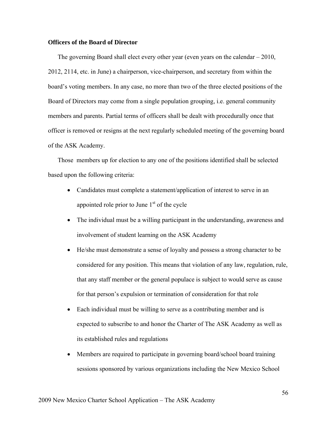### **Officers of the Board of Director**

The governing Board shall elect every other year (even years on the calendar – 2010, 2012, 2114, etc. in June) a chairperson, vice-chairperson, and secretary from within the board's voting members. In any case, no more than two of the three elected positions of the Board of Directors may come from a single population grouping, i.e. general community members and parents. Partial terms of officers shall be dealt with procedurally once that officer is removed or resigns at the next regularly scheduled meeting of the governing board of the ASK Academy.

Those members up for election to any one of the positions identified shall be selected based upon the following criteria:

- Candidates must complete a statement/application of interest to serve in an appointed role prior to June  $1<sup>st</sup>$  of the cycle
- The individual must be a willing participant in the understanding, awareness and involvement of student learning on the ASK Academy
- He/she must demonstrate a sense of loyalty and possess a strong character to be considered for any position. This means that violation of any law, regulation, rule, that any staff member or the general populace is subject to would serve as cause for that person's expulsion or termination of consideration for that role
- Each individual must be willing to serve as a contributing member and is expected to subscribe to and honor the Charter of The ASK Academy as well as its established rules and regulations
- Members are required to participate in governing board/school board training sessions sponsored by various organizations including the New Mexico School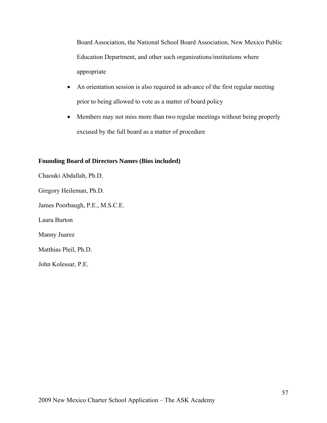Board Association, the National School Board Association, New Mexico Public Education Department, and other such organizations/institutions where appropriate

- An orientation session is also required in advance of the first regular meeting prior to being allowed to vote as a matter of board policy
- Members may not miss more than two regular meetings without being properly excused by the full board as a matter of procedure

# **Founding Board of Directors Names (Bios included)**

Chaouki Abdallah, Ph.D.

Gregory Heileman, Ph.D.

James Poorbaugh, P.E., M.S.C.E.

Laura Burton

Manny Juarez

Matthias Pleil, Ph.D.

John Kolessar, P.E.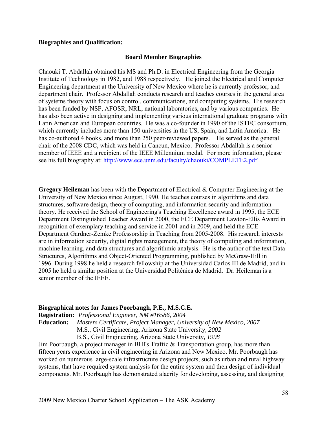## **Biographies and Qualification:**

### **Board Member Biographies**

Chaouki T. Abdallah obtained his MS and Ph.D. in Electrical Engineering from the Georgia Institute of Technology in 1982, and 1988 respectively. He joined the Electrical and Computer Engineering department at the University of New Mexico where he is currently professor, and department chair. Professor Abdallah conducts research and teaches courses in the general area of systems theory with focus on control, communications, and computing systems. His research has been funded by NSF, AFOSR, NRL, national laboratories, and by various companies. He has also been active in designing and implementing various international graduate programs with Latin American and European countries. He was a co-founder in 1990 of the ISTEC consortium, which currently includes more than 150 universities in the US, Spain, and Latin America. He has co-authored 4 books, and more than 250 peer-reviewed papers. He served as the general chair of the 2008 CDC, which was held in Cancun, Mexico. Professor Abdallah is a senior member of IEEE and a recipient of the IEEE Millennium medal. For more information, please see his full biography at: http://www.ece.unm.edu/faculty/chaouki/COMPLETE2.pdf

**Gregory Heileman** has been with the Department of Electrical & Computer Engineering at the University of New Mexico since August, 1990. He teaches courses in algorithms and data structures, software design, theory of computing, and information security and information theory. He received the School of Engineering's Teaching Excellence award in 1995, the ECE Department Distinguished Teacher Award in 2000, the ECE Department Lawton-Ellis Award in recognition of exemplary teaching and service in 2001 and in 2009, and held the ECE Department Gardner-Zemke Professorship in Teaching from 2005-2008. His research interests are in information security, digital rights management, the theory of computing and information, machine learning, and data structures and algorithmic analysis. He is the author of the text Data Structures, Algorithms and Object-Oriented Programming, published by McGraw-Hill in 1996. During 1998 he held a research fellowship at the Universidad Carlos III de Madrid, and in 2005 he held a similar position at the Universidad Politénica de Madrid. Dr. Heileman is a senior member of the IEEE.

# **Biographical notes for James Poorbaugh, P.E., M.S.C.E.**

**Registration:** *Professional Engineer, NM #16586, 2004*

**Education:** *Masters Certificate, Project Manager, University of New Mexico, 2007* 

M.S., Civil Engineering, Arizona State University*, 2002* 

B.S., Civil Engineering, Arizona State University*, 1998*

Jim Poorbaugh, a project manager in BHI's Traffic & Transportation group, has more than fifteen years experience in civil engineering in Arizona and New Mexico. Mr. Poorbaugh has worked on numerous large-scale infrastructure design projects, such as urban and rural highway systems, that have required system analysis for the entire system and then design of individual components. Mr. Poorbaugh has demonstrated alacrity for developing, assessing, and designing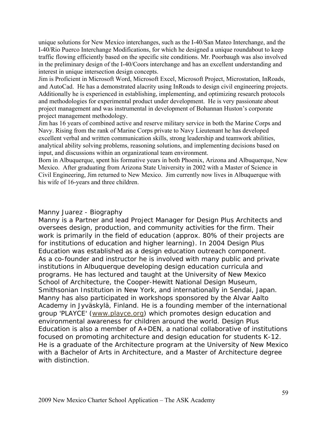unique solutions for New Mexico interchanges, such as the I-40/San Mateo Interchange, and the I-40/Rio Puerco Interchange Modifications, for which he designed a unique roundabout to keep traffic flowing efficiently based on the specific site conditions. Mr. Poorbaugh was also involved in the preliminary design of the I-40/Coors interchange and has an excellent understanding and interest in unique intersection design concepts.

Jim is Proficient in Microsoft Word, Microsoft Excel, Microsoft Project, Microstation, InRoads, and AutoCad. He has a demonstrated alacrity using InRoads to design civil engineering projects. Additionally he is experienced in establishing, implementing, and optimizing research protocols and methodologies for experimental product under development. He is very passionate about project management and was instrumental in development of Bohannan Huston's corporate project management methodology.

Jim has 16 years of combined active and reserve military service in both the Marine Corps and Navy. Rising from the rank of Marine Corps private to Navy Lieutenant he has developed excellent verbal and written communication skills, strong leadership and teamwork abilities, analytical ability solving problems, reasoning solutions, and implementing decisions based on input, and discussions within an organizational team environment.

Born in Albuquerque, spent his formative years in both Phoenix, Arizona and Albuquerque, New Mexico. After graduating from Arizona State University in 2002 with a Master of Science in Civil Engineering, Jim returned to New Mexico. Jim currently now lives in Albuquerque with his wife of 16-years and three children.

# Manny Juarez - Biography

Manny is a Partner and lead Project Manager for Design Plus Architects and oversees design, production, and community activities for the firm. Their work is primarily in the field of education (approx. 80% of their projects are for institutions of education and higher learning). In 2004 Design Plus Education was established as a design education outreach component. As a co-founder and instructor he is involved with many public and private institutions in Albuquerque developing design education curricula and programs. He has lectured and taught at the University of New Mexico School of Architecture, the Cooper-Hewitt National Design Museum, Smithsonian Institution in New York, and internationally in Sendai, Japan. Manny has also participated in workshops sponsored by the Alvar Aalto Academy in Jyväskylä, Finland. He is a founding member of the international group 'PLAYCE' (www.playce.org) which promotes design education and environmental awareness for children around the world. Design Plus Education is also a member of A+DEN, a national collaborative of institutions focused on promoting architecture and design education for students K-12. He is a graduate of the Architecture program at the University of New Mexico with a Bachelor of Arts in Architecture, and a Master of Architecture degree with distinction.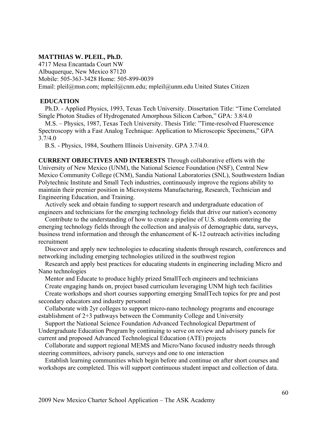## **MATTHIAS W. PLEIL, Ph.D.**

4717 Mesa Encantada Court NW Albuquerque, New Mexico 87120 Mobile: 505-363-3428 Home: 505-899-0039 Email: pleil@msn.com; mpleil@cnm.edu; mpleil@unm.edu United States Citizen

## **EDUCATION**

 Ph.D. - Applied Physics, 1993, Texas Tech University. Dissertation Title: "Time Correlated Single Photon Studies of Hydrogenated Amorphous Silicon Carbon," GPA: 3.8/4.0

 M.S. – Physics, 1987, Texas Tech University. Thesis Title: "Time-resolved Fluorescence Spectroscopy with a Fast Analog Technique: Application to Microscopic Specimens," GPA 3.7/4.0

B.S. - Physics, 1984, Southern Illinois University. GPA 3.7/4.0.

**CURRENT OBJECTIVES AND INTERESTS** Through collaborative efforts with the University of New Mexico (UNM), the National Science Foundation (NSF), Central New Mexico Community College (CNM), Sandia National Laboratories (SNL), Southwestern Indian Polytechnic Institute and Small Tech industries, continuously improve the regions ability to maintain their premier position in Microsystems Manufacturing, Research, Technician and Engineering Education, and Training.

 Actively seek and obtain funding to support research and undergraduate education of engineers and technicians for the emerging technology fields that drive our nation's economy

 Contribute to the understanding of how to create a pipeline of U.S. students entering the emerging technology fields through the collection and analysis of demographic data, surveys, business trend information and through the enhancement of K-12 outreach activities including recruitment

 Discover and apply new technologies to educating students through research, conferences and networking including emerging technologies utilized in the southwest region

 Research and apply best practices for educating students in engineering including Micro and Nano technologies

 Mentor and Educate to produce highly prized SmallTech engineers and technicians Create engaging hands on, project based curriculum leveraging UNM high tech facilities

 Create workshops and short courses supporting emerging SmallTech topics for pre and post secondary educators and industry personnel

 Collaborate with 2yr colleges to support micro-nano technology programs and encourage establishment of 2+3 pathways between the Community College and University

 Support the National Science Foundation Advanced Technological Department of Undergraduate Education Program by continuing to serve on review and advisory panels for current and proposed Advanced Technological Education (ATE) projects

 Collaborate and support regional MEMS and Micro/Nano focused industry needs through steering committees, advisory panels, surveys and one to one interaction

 Establish learning communities which begin before and continue on after short courses and workshops are completed. This will support continuous student impact and collection of data.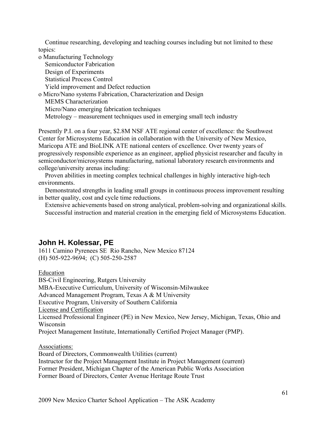Continue researching, developing and teaching courses including but not limited to these topics:

o Manufacturing Technology Semiconductor Fabrication Design of Experiments Statistical Process Control Yield improvement and Defect reduction o Micro/Nano systems Fabrication, Characterization and Design MEMS Characterization Micro/Nano emerging fabrication techniques Metrology – measurement techniques used in emerging small tech industry

Presently P.I. on a four year, \$2.8M NSF ATE regional center of excellence: the Southwest Center for Microsystems Education in collaboration with the University of New Mexico, Maricopa ATE and BioLINK ATE national centers of excellence. Over twenty years of progressively responsible experience as an engineer, applied physicist researcher and faculty in semiconductor/microsystems manufacturing, national laboratory research environments and college/university arenas including:

 Proven abilities in meeting complex technical challenges in highly interactive high-tech environments.

 Demonstrated strengths in leading small groups in continuous process improvement resulting in better quality, cost and cycle time reductions.

 Extensive achievements based on strong analytical, problem-solving and organizational skills. Successful instruction and material creation in the emerging field of Microsystems Education.

# **John H. Kolessar, PE**

1611 Camino Pyrenees SE Rio Rancho, New Mexico 87124 (H) 505-922-9694; (C) 505-250-2587

Education

BS-Civil Engineering, Rutgers University MBA-Executive Curriculum, University of Wisconsin-Milwaukee Advanced Management Program, Texas A & M University Executive Program, University of Southern California License and Certification Licensed Professional Engineer (PE) in New Mexico, New Jersey, Michigan, Texas, Ohio and Wisconsin Project Management Institute, Internationally Certified Project Manager (PMP).

Associations:

Board of Directors, Commonwealth Utilities (current) Instructor for the Project Management Institute in Project Management (current) Former President, Michigan Chapter of the American Public Works Association Former Board of Directors, Center Avenue Heritage Route Trust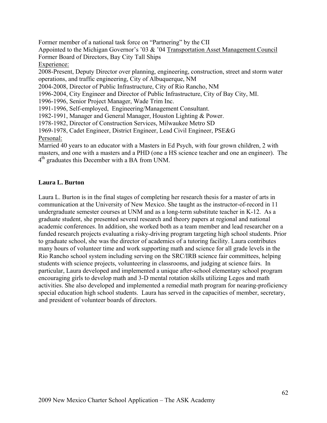Former member of a national task force on "Partnering" by the CII Appointed to the Michigan Governor's '03 & '04 Transportation Asset Management Council Former Board of Directors, Bay City Tall Ships Experience: 2008-Present, Deputy Director over planning, engineering, construction, street and storm water operations, and traffic engineering, City of Albuquerque, NM 2004-2008, Director of Public Infrastructure, City of Rio Rancho, NM 1996-2004, City Engineer and Director of Public Infrastructure, City of Bay City, MI. 1996-1996, Senior Project Manager, Wade Trim Inc. 1991-1996, Self-employed, Engineering/Management Consultant. 1982-1991, Manager and General Manager, Houston Lighting & Power. 1978-1982, Director of Construction Services, Milwaukee Metro SD 1969-1978, Cadet Engineer, District Engineer, Lead Civil Engineer, PSE&G Personal: Married 40 years to an educator with a Masters in Ed Psych, with four grown children, 2 with

masters, and one with a masters and a PHD (one a HS science teacher and one an engineer). The  $4<sup>th</sup>$  graduates this December with a BA from UNM.

# **Laura L. Burton**

Laura L. Burton is in the final stages of completing her research thesis for a master of arts in communication at the University of New Mexico. She taught as the instructor-of-record in 11 undergraduate semester courses at UNM and as a long-term substitute teacher in K-12. As a graduate student, she presented several research and theory papers at regional and national academic conferences. In addition, she worked both as a team member and lead researcher on a funded research projects evaluating a risky-driving program targeting high school students. Prior to graduate school, she was the director of academics of a tutoring facility. Laura contributes many hours of volunteer time and work supporting math and science for all grade levels in the Rio Rancho school system including serving on the SRC/IRB science fair committees, helping students with science projects, volunteering in classrooms, and judging at science fairs. In particular, Laura developed and implemented a unique after-school elementary school program encouraging girls to develop math and 3-D mental rotation skills utilizing Legos and math activities. She also developed and implemented a remedial math program for nearing-proficiency special education high school students. Laura has served in the capacities of member, secretary, and president of volunteer boards of directors.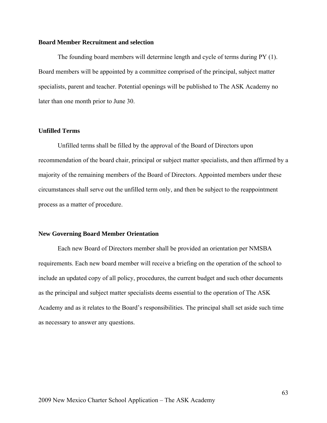### **Board Member Recruitment and selection**

The founding board members will determine length and cycle of terms during PY (1). Board members will be appointed by a committee comprised of the principal, subject matter specialists, parent and teacher. Potential openings will be published to The ASK Academy no later than one month prior to June 30.

## **Unfilled Terms**

Unfilled terms shall be filled by the approval of the Board of Directors upon recommendation of the board chair, principal or subject matter specialists, and then affirmed by a majority of the remaining members of the Board of Directors. Appointed members under these circumstances shall serve out the unfilled term only, and then be subject to the reappointment process as a matter of procedure.

#### **New Governing Board Member Orientation**

Each new Board of Directors member shall be provided an orientation per NMSBA requirements. Each new board member will receive a briefing on the operation of the school to include an updated copy of all policy, procedures, the current budget and such other documents as the principal and subject matter specialists deems essential to the operation of The ASK Academy and as it relates to the Board's responsibilities. The principal shall set aside such time as necessary to answer any questions.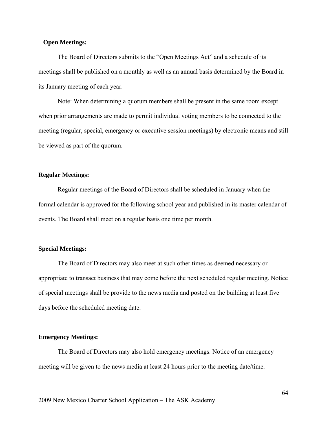## **Open Meetings:**

The Board of Directors submits to the "Open Meetings Act" and a schedule of its meetings shall be published on a monthly as well as an annual basis determined by the Board in its January meeting of each year.

Note: When determining a quorum members shall be present in the same room except when prior arrangements are made to permit individual voting members to be connected to the meeting (regular, special, emergency or executive session meetings) by electronic means and still be viewed as part of the quorum.

## **Regular Meetings:**

Regular meetings of the Board of Directors shall be scheduled in January when the formal calendar is approved for the following school year and published in its master calendar of events. The Board shall meet on a regular basis one time per month.

### **Special Meetings:**

The Board of Directors may also meet at such other times as deemed necessary or appropriate to transact business that may come before the next scheduled regular meeting. Notice of special meetings shall be provide to the news media and posted on the building at least five days before the scheduled meeting date.

#### **Emergency Meetings:**

The Board of Directors may also hold emergency meetings. Notice of an emergency meeting will be given to the news media at least 24 hours prior to the meeting date/time.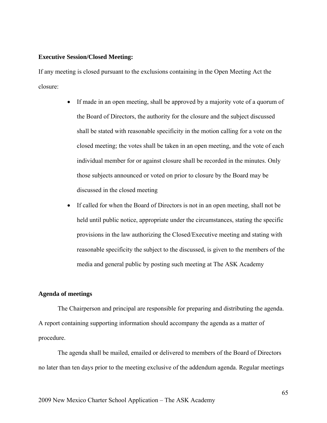### **Executive Session/Closed Meeting:**

If any meeting is closed pursuant to the exclusions containing in the Open Meeting Act the closure:

- If made in an open meeting, shall be approved by a majority vote of a quorum of the Board of Directors, the authority for the closure and the subject discussed shall be stated with reasonable specificity in the motion calling for a vote on the closed meeting; the votes shall be taken in an open meeting, and the vote of each individual member for or against closure shall be recorded in the minutes. Only those subjects announced or voted on prior to closure by the Board may be discussed in the closed meeting
- If called for when the Board of Directors is not in an open meeting, shall not be held until public notice, appropriate under the circumstances, stating the specific provisions in the law authorizing the Closed/Executive meeting and stating with reasonable specificity the subject to the discussed, is given to the members of the media and general public by posting such meeting at The ASK Academy

## **Agenda of meetings**

The Chairperson and principal are responsible for preparing and distributing the agenda. A report containing supporting information should accompany the agenda as a matter of procedure.

The agenda shall be mailed, emailed or delivered to members of the Board of Directors no later than ten days prior to the meeting exclusive of the addendum agenda. Regular meetings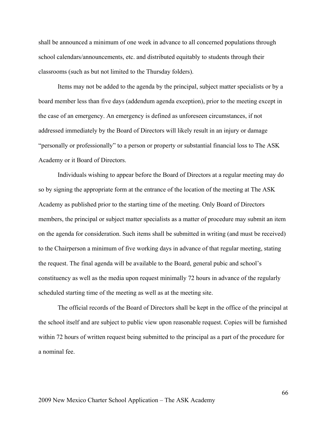shall be announced a minimum of one week in advance to all concerned populations through school calendars/announcements, etc. and distributed equitably to students through their classrooms (such as but not limited to the Thursday folders).

Items may not be added to the agenda by the principal, subject matter specialists or by a board member less than five days (addendum agenda exception), prior to the meeting except in the case of an emergency. An emergency is defined as unforeseen circumstances, if not addressed immediately by the Board of Directors will likely result in an injury or damage "personally or professionally" to a person or property or substantial financial loss to The ASK Academy or it Board of Directors.

Individuals wishing to appear before the Board of Directors at a regular meeting may do so by signing the appropriate form at the entrance of the location of the meeting at The ASK Academy as published prior to the starting time of the meeting. Only Board of Directors members, the principal or subject matter specialists as a matter of procedure may submit an item on the agenda for consideration. Such items shall be submitted in writing (and must be received) to the Chairperson a minimum of five working days in advance of that regular meeting, stating the request. The final agenda will be available to the Board, general pubic and school's constituency as well as the media upon request minimally 72 hours in advance of the regularly scheduled starting time of the meeting as well as at the meeting site.

The official records of the Board of Directors shall be kept in the office of the principal at the school itself and are subject to public view upon reasonable request. Copies will be furnished within 72 hours of written request being submitted to the principal as a part of the procedure for a nominal fee.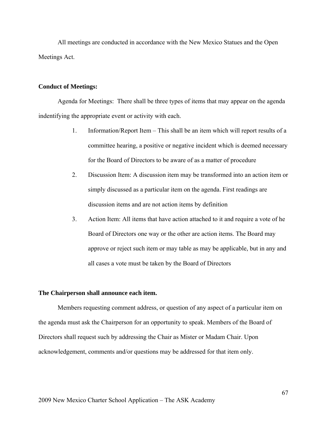All meetings are conducted in accordance with the New Mexico Statues and the Open Meetings Act.

### **Conduct of Meetings:**

Agenda for Meetings: There shall be three types of items that may appear on the agenda indentifying the appropriate event or activity with each.

- 1. Information/Report Item This shall be an item which will report results of a committee hearing, a positive or negative incident which is deemed necessary for the Board of Directors to be aware of as a matter of procedure
- 2. Discussion Item: A discussion item may be transformed into an action item or simply discussed as a particular item on the agenda. First readings are discussion items and are not action items by definition
- 3. Action Item: All items that have action attached to it and require a vote of he Board of Directors one way or the other are action items. The Board may approve or reject such item or may table as may be applicable, but in any and all cases a vote must be taken by the Board of Directors

#### **The Chairperson shall announce each item.**

Members requesting comment address, or question of any aspect of a particular item on the agenda must ask the Chairperson for an opportunity to speak. Members of the Board of Directors shall request such by addressing the Chair as Mister or Madam Chair. Upon acknowledgement, comments and/or questions may be addressed for that item only.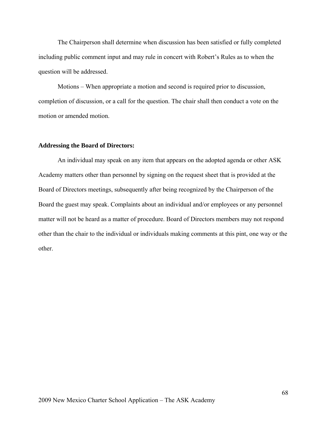The Chairperson shall determine when discussion has been satisfied or fully completed including public comment input and may rule in concert with Robert's Rules as to when the question will be addressed.

Motions – When appropriate a motion and second is required prior to discussion, completion of discussion, or a call for the question. The chair shall then conduct a vote on the motion or amended motion.

#### **Addressing the Board of Directors:**

An individual may speak on any item that appears on the adopted agenda or other ASK Academy matters other than personnel by signing on the request sheet that is provided at the Board of Directors meetings, subsequently after being recognized by the Chairperson of the Board the guest may speak. Complaints about an individual and/or employees or any personnel matter will not be heard as a matter of procedure. Board of Directors members may not respond other than the chair to the individual or individuals making comments at this pint, one way or the other.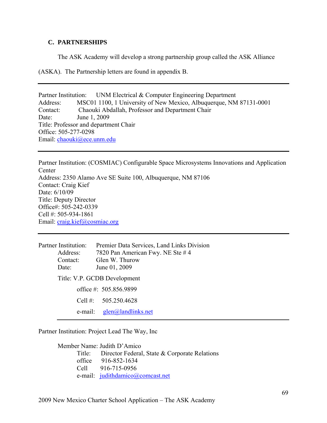# **C. PARTNERSHIPS**

The ASK Academy will develop a strong partnership group called the ASK Alliance

(ASKA). The Partnership letters are found in appendix B.

Partner Institution: UNM Electrical & Computer Engineering Department Address: MSC01 1100, 1 University of New Mexico, Albuquerque, NM 87131-0001 Contact: Chaouki Abdallah, Professor and Department Chair Date: June 1, 2009 Title: Professor and department Chair Office: 505-277-0298 Email: chaouki@ece.unm.edu

Partner Institution: (COSMIAC) Configurable Space Microsystems Innovations and Application **Center** Address: 2350 Alamo Ave SE Suite 100, Albuquerque, NM 87106 Contact: Craig Kief Date:  $6/10/09$ Title: Deputy Director Office#: 505-242-0339 Cell #: 505-934-1861 Email: craig.kief@cosmiac.org

| Partner Institution: | Premier Data Services, Land Links Division |
|----------------------|--------------------------------------------|
| Address:             | 7820 Pan American Fwy. NE Ste #4           |
| Contact:             | Glen W. Thurow                             |
| Date:                | June 01, 2009                              |
|                      | Title: V.P. GCDB Development               |
|                      | office #: $505.856.9899$                   |
|                      | Cell #: $505.250.4628$                     |
| e-mail:              | glen@landlinks.net                         |

Partner Institution: Project Lead The Way, Inc

Member Name: Judith D'Amico Title: Director Federal, State & Corporate Relations office 916-852-1634 Cell 916-715-0956 e-mail: judithdamico@comcast.net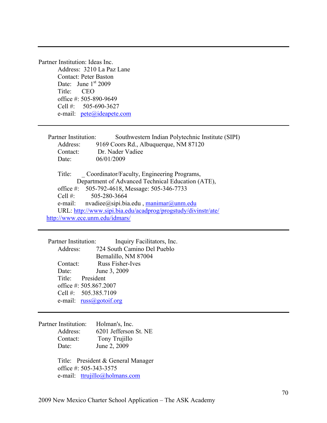Partner Institution: Ideas Inc. Address: 3210 La Paz Lane Contact: Peter Baston Date: June  $1<sup>st</sup> 2009$ Title: CEO office #: 505-890-9649 Cell #: 505-690-3627 e-mail: pete@ideapete.com

| Partner Institution: | Southwestern Indian Polytechnic Institute (SIPI)                         |
|----------------------|--------------------------------------------------------------------------|
| Address:             | 9169 Coors Rd., Albuquerque, NM 87120                                    |
| Contact:             | Dr. Nader Vadiee                                                         |
| Date:                | 06/01/2009                                                               |
|                      |                                                                          |
| Title:               | Coordinator/Faculty, Engineering Programs,                               |
|                      | Department of Advanced Technical Education (ATE),                        |
|                      | office #: 505-792-4618, Message: 505-346-7733                            |
|                      | Cell #: $505-280-3664$                                                   |
| e-mail:              | $n$ vadiee $\omega$ sipi.bia.edu, $\frac{1}{m}$ manimar $\omega$ unm.edu |
|                      | URL: http://www.sipi.bia.edu/acadprog/progstudy/divinstr/ate/            |
|                      | http://www.ece.unm.edu/idmars/                                           |

Partner Institution: Inquiry Facilitators, Inc. Address: 724 South Camino Del Pueblo Bernalillo, NM 87004 Contact: Russ Fisher-Ives Date: June 3, 2009 Title: President office #: 505.867.2007 Cell #: 505.385.7109 e-mail: russ@gotoif.org

Partner Institution: Holman's, Inc. Address: 6201 Jefferson St. NE Contact: Tony Trujillo Date: June 2, 2009

> Title: President & General Manager office #: 505-343-3575 e-mail: ttrujillo@holmans.com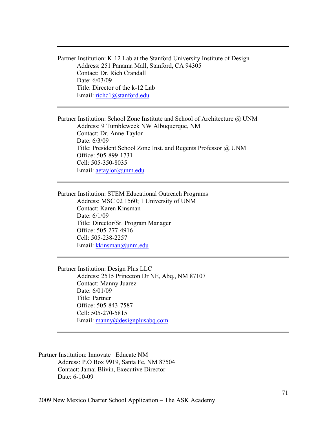Partner Institution: K-12 Lab at the Stanford University Institute of Design Address: 251 Panama Mall, Stanford, CA 94305 Contact: Dr. Rich Crandall Date: 6/03/09 Title: Director of the k-12 Lab Email: richc1@stanford.edu

Partner Institution: School Zone Institute and School of Architecture @ UNM Address: 9 Tumbleweek NW Albuquerque, NM Contact: Dr. Anne Taylor Date: 6/3/09 Title: President School Zone Inst. and Regents Professor @ UNM Office: 505-899-1731 Cell: 505-350-8035 Email: aetaylor@unm.edu

Partner Institution: STEM Educational Outreach Programs Address: MSC 02 1560; 1 University of UNM Contact: Karen Kinsman Date:  $6/1/09$  Title: Director/Sr. Program Manager Office: 505-277-4916 Cell: 505-238-2257 Email: kkinsman@unm.edu

Partner Institution: Design Plus LLC Address: 2515 Princeton Dr NE, Abq., NM 87107 Contact: Manny Juarez Date: 6/01/09 Title: Partner Office: 505-843-7587 Cell: 505-270-5815 Email: manny@designplusabq.com

Partner Institution: Innovate –Educate NM Address: P.O Box 9919, Santa Fe, NM 87504 Contact: Jamai Blivin, Executive Director Date: 6-10-09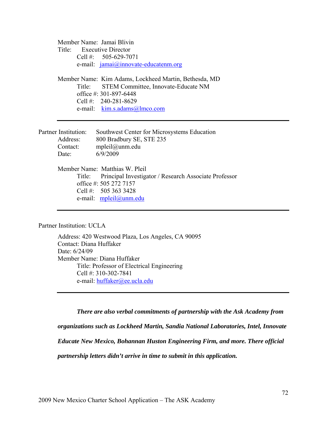Member Name: Jamai Blivin Title: Executive Director Cell #: 505-629-7071 e-mail:  $jamai@innovate-educatemm.org$ Member Name: Kim Adams, Lockheed Martin, Bethesda, MD Title: STEM Committee, Innovate-Educate NM office #: 301-897-6448 Cell #: 240-281-8629 e-mail: kim.s.adams@lmco.com Partner Institution: Southwest Center for Microsystems Education Address: 800 Bradbury SE, STE 235 Contact: mpleil@unm.edu Date: 6/9/2009 Member Name: Matthias W. Pleil Title: Principal Investigator / Research Associate Professor office #: 505 272 7157 Cell #: 505 363 3428 e-mail: mpleil@unm.edu

Partner Institution: UCLA

 Address: 420 Westwood Plaza, Los Angeles, CA 90095 Contact: Diana Huffaker Date: 6/24/09 Member Name: Diana Huffaker Title: Professor of Electrical Engineering Cell #: 310-302-7841 e-mail: huffaker@ee.ucla.edu

*There are also verbal commitments of partnership with the Ask Academy from organizations such as Lockheed Martin, Sandia National Laboratories, Intel, Innovate Educate New Mexico, Bohannan Huston Engineering Firm, and more. There official partnership letters didn't arrive in time to submit in this application.*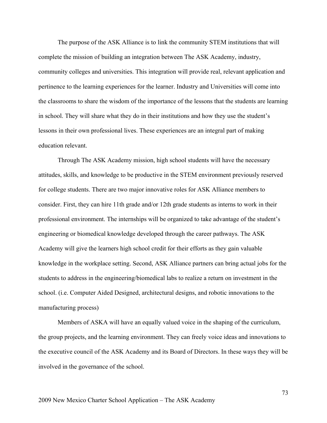The purpose of the ASK Alliance is to link the community STEM institutions that will complete the mission of building an integration between The ASK Academy, industry, community colleges and universities. This integration will provide real, relevant application and pertinence to the learning experiences for the learner. Industry and Universities will come into the classrooms to share the wisdom of the importance of the lessons that the students are learning in school. They will share what they do in their institutions and how they use the student's lessons in their own professional lives. These experiences are an integral part of making education relevant.

Through The ASK Academy mission, high school students will have the necessary attitudes, skills, and knowledge to be productive in the STEM environment previously reserved for college students. There are two major innovative roles for ASK Alliance members to consider. First, they can hire 11th grade and/or 12th grade students as interns to work in their professional environment. The internships will be organized to take advantage of the student's engineering or biomedical knowledge developed through the career pathways. The ASK Academy will give the learners high school credit for their efforts as they gain valuable knowledge in the workplace setting. Second, ASK Alliance partners can bring actual jobs for the students to address in the engineering/biomedical labs to realize a return on investment in the school. (i.e. Computer Aided Designed, architectural designs, and robotic innovations to the manufacturing process)

Members of ASKA will have an equally valued voice in the shaping of the curriculum, the group projects, and the learning environment. They can freely voice ideas and innovations to the executive council of the ASK Academy and its Board of Directors. In these ways they will be involved in the governance of the school.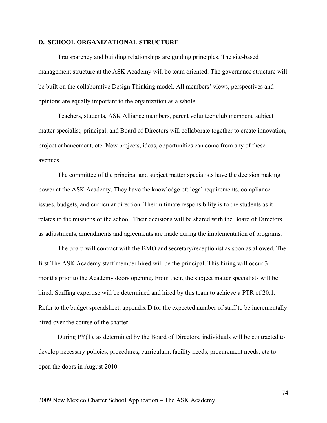#### **D. SCHOOL ORGANIZATIONAL STRUCTURE**

Transparency and building relationships are guiding principles. The site-based management structure at the ASK Academy will be team oriented. The governance structure will be built on the collaborative Design Thinking model. All members' views, perspectives and opinions are equally important to the organization as a whole.

Teachers, students, ASK Alliance members, parent volunteer club members, subject matter specialist, principal, and Board of Directors will collaborate together to create innovation, project enhancement, etc. New projects, ideas, opportunities can come from any of these avenues.

The committee of the principal and subject matter specialists have the decision making power at the ASK Academy. They have the knowledge of: legal requirements, compliance issues, budgets, and curricular direction. Their ultimate responsibility is to the students as it relates to the missions of the school. Their decisions will be shared with the Board of Directors as adjustments, amendments and agreements are made during the implementation of programs.

The board will contract with the BMO and secretary/receptionist as soon as allowed. The first The ASK Academy staff member hired will be the principal. This hiring will occur 3 months prior to the Academy doors opening. From their, the subject matter specialists will be hired. Staffing expertise will be determined and hired by this team to achieve a PTR of 20:1. Refer to the budget spreadsheet, appendix D for the expected number of staff to be incrementally hired over the course of the charter.

During PY(1), as determined by the Board of Directors, individuals will be contracted to develop necessary policies, procedures, curriculum, facility needs, procurement needs, etc to open the doors in August 2010.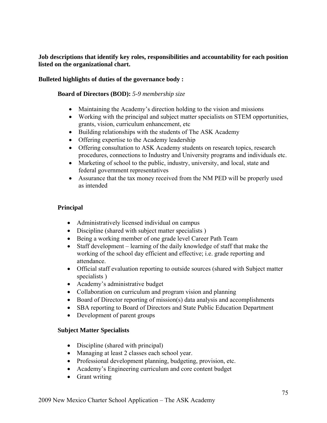**Job descriptions that identify key roles, responsibilities and accountability for each position listed on the organizational chart.** 

## **Bulleted highlights of duties of the governance body :**

**Board of Directors (BOD):** *5-9 membership size* 

- Maintaining the Academy's direction holding to the vision and missions
- Working with the principal and subject matter specialists on STEM opportunities, grants, vision, curriculum enhancement, etc
- Building relationships with the students of The ASK Academy
- Offering expertise to the Academy leadership
- Offering consultation to ASK Academy students on research topics, research procedures, connections to Industry and University programs and individuals etc.
- Marketing of school to the public, industry, university, and local, state and federal government representatives
- Assurance that the tax money received from the NM PED will be properly used as intended

## **Principal**

- Administratively licensed individual on campus
- Discipline (shared with subject matter specialists)
- Being a working member of one grade level Career Path Team
- Staff development learning of the daily knowledge of staff that make the working of the school day efficient and effective; i.e. grade reporting and attendance.
- Official staff evaluation reporting to outside sources (shared with Subject matter specialists )
- Academy's administrative budget
- Collaboration on curriculum and program vision and planning
- Board of Director reporting of mission(s) data analysis and accomplishments
- SBA reporting to Board of Directors and State Public Education Department
- Development of parent groups

### **Subject Matter Specialists**

- Discipline (shared with principal)
- Managing at least 2 classes each school year.
- Professional development planning, budgeting, provision, etc.
- Academy's Engineering curriculum and core content budget
- Grant writing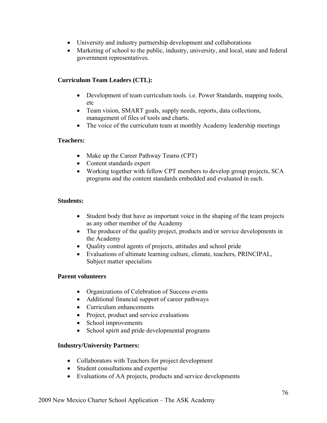- University and industry partnership development and collaborations
- Marketing of school to the public, industry, university, and local, state and federal government representatives.

# **Curriculum Team Leaders (CTL):**

- Development of team curriculum tools. *i.e.* Power Standards, mapping tools, etc
- Team vision, SMART goals, supply needs, reports, data collections, management of files of tools and charts.
- The voice of the curriculum team at monthly Academy leadership meetings

# **Teachers:**

- Make up the Career Pathway Teams (CPT)
- Content standards expert
- Working together with fellow CPT members to develop group projects, SCA programs and the content standards embedded and evaluated in each.

## **Students:**

- Student body that have as important voice in the shaping of the team projects as any other member of the Academy
- The producer of the quality project, products and/or service developments in the Academy
- Quality control agents of projects, attitudes and school pride
- Evaluations of ultimate learning culture, climate, teachers, PRINCIPAL, Subject matter specialists

## **Parent volunteers**

- Organizations of Celebration of Success events
- Additional financial support of career pathways
- Curriculum enhancements
- Project, product and service evaluations
- School improvements
- School spirit and pride developmental programs

## **Industry/University Partners:**

- Collaborators with Teachers for project development
- Student consultations and expertise
- Evaluations of AA projects, products and service developments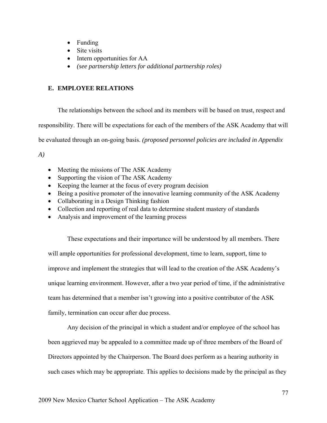- Funding
- Site visits
- Intern opportunities for AA
- *(see partnership letters for additional partnership roles)*

# **E. EMPLOYEE RELATIONS**

The relationships between the school and its members will be based on trust, respect and responsibility. There will be expectations for each of the members of the ASK Academy that will be evaluated through an on-going basis. *(proposed personnel policies are included in Appendix* 

*A)* 

- Meeting the missions of The ASK Academy
- Supporting the vision of The ASK Academy
- Keeping the learner at the focus of every program decision
- Being a positive promoter of the innovative learning community of the ASK Academy
- Collaborating in a Design Thinking fashion
- Collection and reporting of real data to determine student mastery of standards
- Analysis and improvement of the learning process

These expectations and their importance will be understood by all members. There will ample opportunities for professional development, time to learn, support, time to improve and implement the strategies that will lead to the creation of the ASK Academy's unique learning environment. However, after a two year period of time, if the administrative team has determined that a member isn't growing into a positive contributor of the ASK family, termination can occur after due process.

Any decision of the principal in which a student and/or employee of the school has been aggrieved may be appealed to a committee made up of three members of the Board of Directors appointed by the Chairperson. The Board does perform as a hearing authority in such cases which may be appropriate. This applies to decisions made by the principal as they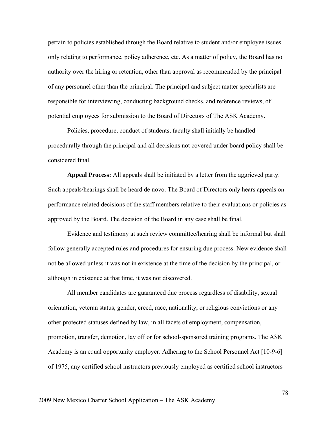pertain to policies established through the Board relative to student and/or employee issues only relating to performance, policy adherence, etc. As a matter of policy, the Board has no authority over the hiring or retention, other than approval as recommended by the principal of any personnel other than the principal. The principal and subject matter specialists are responsible for interviewing, conducting background checks, and reference reviews, of potential employees for submission to the Board of Directors of The ASK Academy.

Policies, procedure, conduct of students, faculty shall initially be handled procedurally through the principal and all decisions not covered under board policy shall be considered final.

**Appeal Process:** All appeals shall be initiated by a letter from the aggrieved party. Such appeals/hearings shall be heard de novo. The Board of Directors only hears appeals on performance related decisions of the staff members relative to their evaluations or policies as approved by the Board. The decision of the Board in any case shall be final.

Evidence and testimony at such review committee/hearing shall be informal but shall follow generally accepted rules and procedures for ensuring due process. New evidence shall not be allowed unless it was not in existence at the time of the decision by the principal, or although in existence at that time, it was not discovered.

All member candidates are guaranteed due process regardless of disability, sexual orientation, veteran status, gender, creed, race, nationality, or religious convictions or any other protected statuses defined by law, in all facets of employment, compensation, promotion, transfer, demotion, lay off or for school-sponsored training programs. The ASK Academy is an equal opportunity employer. Adhering to the School Personnel Act [10-9-6] of 1975, any certified school instructors previously employed as certified school instructors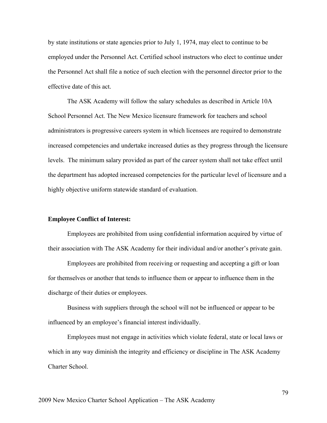by state institutions or state agencies prior to July 1, 1974, may elect to continue to be employed under the Personnel Act. Certified school instructors who elect to continue under the Personnel Act shall file a notice of such election with the personnel director prior to the effective date of this act.

The ASK Academy will follow the salary schedules as described in Article 10A School Personnel Act. The New Mexico licensure framework for teachers and school administrators is progressive careers system in which licensees are required to demonstrate increased competencies and undertake increased duties as they progress through the licensure levels. The minimum salary provided as part of the career system shall not take effect until the department has adopted increased competencies for the particular level of licensure and a highly objective uniform statewide standard of evaluation.

#### **Employee Conflict of Interest:**

Employees are prohibited from using confidential information acquired by virtue of their association with The ASK Academy for their individual and/or another's private gain.

Employees are prohibited from receiving or requesting and accepting a gift or loan for themselves or another that tends to influence them or appear to influence them in the discharge of their duties or employees.

Business with suppliers through the school will not be influenced or appear to be influenced by an employee's financial interest individually.

Employees must not engage in activities which violate federal, state or local laws or which in any way diminish the integrity and efficiency or discipline in The ASK Academy Charter School.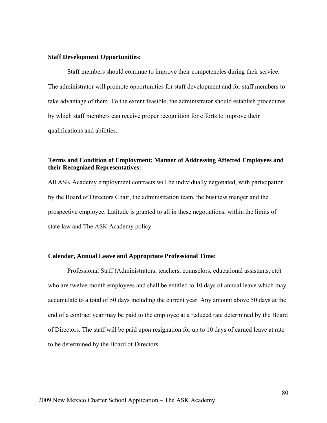#### **Staff Development Opportunities:**

Staff members should continue to improve their competencies during their service. The administrator will promote opportunities for staff development and for staff members to take advantage of them. To the extent feasible, the administrator should establish procedures by which staff members can receive proper recognition for efforts to improve their qualifications and abilities.

## **Terms and Condition of Employment: Manner of Addressing Affected Employees and their Recognized Representatives:**

All ASK Academy employment contracts will be individually negotiated, with participation by the Board of Directors Chair, the administration team, the business manger and the prospective employee. Latitude is granted to all in these negotiations, within the limits of state law and The ASK Academy policy.

#### **Calendar, Annual Leave and Appropriate Professional Time:**

Professional Staff (Administrators, teachers, counselors, educational assistants, etc) who are twelve-month employees and shall be entitled to 10 days of annual leave which may accumulate to a total of 50 days including the current year. Any amount above 50 days at the end of a contract year may be paid to the employee at a reduced rate determined by the Board of Directors. The staff will be paid upon resignation for up to 10 days of earned leave at rate to be determined by the Board of Directors.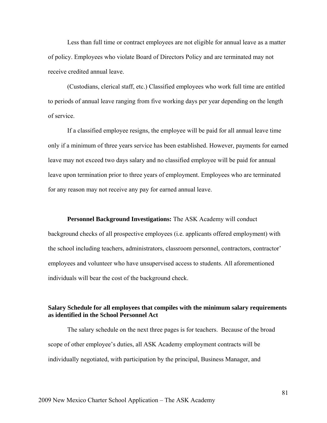Less than full time or contract employees are not eligible for annual leave as a matter of policy. Employees who violate Board of Directors Policy and are terminated may not receive credited annual leave.

(Custodians, clerical staff, etc.) Classified employees who work full time are entitled to periods of annual leave ranging from five working days per year depending on the length of service.

If a classified employee resigns, the employee will be paid for all annual leave time only if a minimum of three years service has been established. However, payments for earned leave may not exceed two days salary and no classified employee will be paid for annual leave upon termination prior to three years of employment. Employees who are terminated for any reason may not receive any pay for earned annual leave.

**Personnel Background Investigations:** The ASK Academy will conduct background checks of all prospective employees (i.e. applicants offered employment) with the school including teachers, administrators, classroom personnel, contractors, contractor' employees and volunteer who have unsupervised access to students. All aforementioned

## **Salary Schedule for all employees that compiles with the minimum salary requirements as identified in the School Personnel Act**

The salary schedule on the next three pages is for teachers. Because of the broad scope of other employee's duties, all ASK Academy employment contracts will be individually negotiated, with participation by the principal, Business Manager, and

individuals will bear the cost of the background check.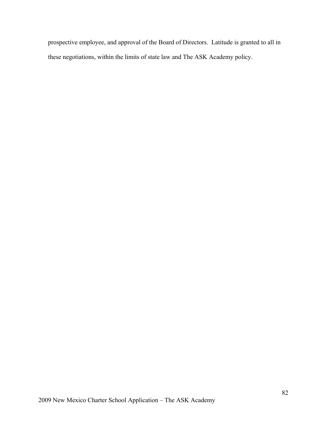prospective employee, and approval of the Board of Directors. Latitude is granted to all in these negotiations, within the limits of state law and The ASK Academy policy.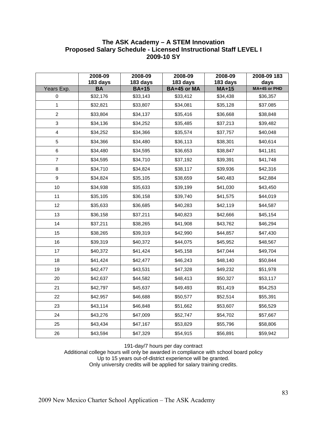# **The ASK Academy – A STEM Innovation Proposed Salary Schedule - Licensed Instructional Staff LEVEL I 2009-10 SY**

|                           | 2008-09<br>183 days | 2008-09<br>183 days | 2008-09<br>183 days | 2008-09<br>183 days | 2008-09 183<br>days |
|---------------------------|---------------------|---------------------|---------------------|---------------------|---------------------|
| Years Exp.                | <b>BA</b>           | <b>BA+15</b>        | BA+45 or MA         | $MA+15$             | MA+45 or PHD        |
| $\mathbf 0$               | \$32,176            | \$33,143            | \$33,412            | \$34,438            | \$36,357            |
| $\mathbf{1}$              | \$32,821            | \$33,807            | \$34,081            | \$35,128            | \$37.085            |
| $\overline{c}$            | \$33,804            | \$34,137            | \$35,416            | \$36,668            | \$38,848            |
| $\ensuremath{\mathsf{3}}$ | \$34,136            | \$34,252            | \$35,485            | \$37,213            | \$39,482            |
| $\overline{\mathbf{4}}$   | \$34,252            | \$34,366            | \$35,574            | \$37,757            | \$40,048            |
| 5                         | \$34,366            | \$34,480            | \$36,113            | \$38,301            | \$40,614            |
| 6                         | \$34,480            | \$34,595            | \$36,653            | \$38,847            | \$41,181            |
| $\overline{7}$            | \$34,595            | \$34,710            | \$37,192            | \$39,391            | \$41,748            |
| 8                         | \$34,710            | \$34,824            | \$38,117            | \$39,936            | \$42,316            |
| $\boldsymbol{9}$          | \$34,824            | \$35,105            | \$38,659            | \$40,483            | \$42,884            |
| 10                        | \$34,938            | \$35,633            | \$39,199            | \$41,030            | \$43,450            |
| 11                        | \$35,105            | \$36,158            | \$39,740            | \$41,575            | \$44,019            |
| 12                        | \$35,633            | \$36,685            | \$40,283            | \$42,119            | \$44,587            |
| 13                        | \$36,158            | \$37,211            | \$40,823            | \$42,666            | \$45,154            |
| 14                        | \$37,211            | \$38,265            | \$41,908            | \$43,762            | \$46,294            |
| 15                        | \$38,265            | \$39,319            | \$42,990            | \$44,857            | \$47,430            |
| 16                        | \$39,319            | \$40,372            | \$44,075            | \$45,952            | \$48,567            |
| 17                        | \$40,372            | \$41,424            | \$45,158            | \$47,044            | \$49,704            |
| 18                        | \$41,424            | \$42,477            | \$46,243            | \$48,140            | \$50,844            |
| 19                        | \$42,477            | \$43,531            | \$47,328            | \$49,232            | \$51,978            |
| 20                        | \$42,637            | \$44,582            | \$48,413            | \$50,327            | \$53,117            |
| 21                        | \$42,797            | \$45,637            | \$49,493            | \$51,419            | \$54,253            |
| 22                        | \$42,957            | \$46,688            | \$50,577            | \$52,514            | \$55,391            |
| 23                        | \$43,114            | \$46,848            | \$51,662            | \$53,607            | \$56,529            |
| 24                        | \$43,276            | \$47,009            | \$52,747            | \$54,702            | \$57,667            |
| 25                        | \$43,434            | \$47,167            | \$53,829            | \$55,796            | \$58,806            |
| 26                        | \$43,594            | \$47,329            | \$54,915            | \$56,891            | \$59,942            |

191-day/7 hours per day contract

Additional college hours will only be awarded in compliance with school board policy Up to 15 years out-of-district experience will be granted.

Only university credits will be applied for salary training credits.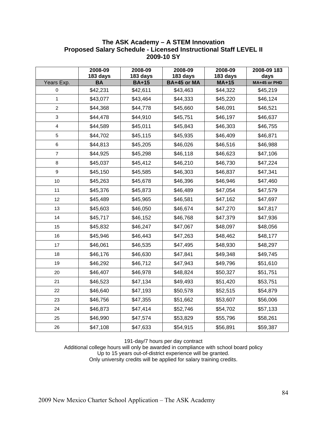## **The ASK Academy – A STEM Innovation Proposed Salary Schedule - Licensed Instructional Staff LEVEL II 2009-10 SY**

|                         | 2008-09<br>183 days | 2008-09<br>183 days | 2008-09<br>183 days | 2008-09<br>183 days | 2008-09 183<br>days |
|-------------------------|---------------------|---------------------|---------------------|---------------------|---------------------|
| Years Exp.              | <b>BA</b>           | <b>BA+15</b>        | BA+45 or MA         | $MA+15$             | MA+45 or PHD        |
| 0                       | \$42,231            | \$42,611            | \$43,463            | \$44,322            | \$45,219            |
| $\mathbf{1}$            | \$43,077            | \$43,464            | \$44,333            | \$45,220            | \$46,124            |
| $\boldsymbol{2}$        | \$44,368            | \$44,778            | \$45,660            | \$46,091            | \$46,521            |
| 3                       | \$44,478            | \$44,910            | \$45,751            | \$46,197            | \$46,637            |
| $\overline{\mathbf{4}}$ | \$44,589            | \$45,011            | \$45,843            | \$46,303            | \$46,755            |
| 5                       | \$44,702            | \$45,115            | \$45,935            | \$46,409            | \$46,871            |
| 6                       | \$44,813            | \$45,205            | \$46,026            | \$46,516            | \$46,988            |
| $\boldsymbol{7}$        | \$44,925            | \$45,298            | \$46,118            | \$46,623            | \$47,106            |
| 8                       | \$45,037            | \$45,412            | \$46,210            | \$46,730            | \$47,224            |
| $\boldsymbol{9}$        | \$45,150            | \$45,585            | \$46,303            | \$46,837            | \$47,341            |
| 10                      | \$45,263            | \$45,678            | \$46,396            | \$46,946            | \$47,460            |
| 11                      | \$45,376            | \$45,873            | \$46,489            | \$47,054            | \$47,579            |
| 12                      | \$45,489            | \$45,965            | \$46,581            | \$47,162            | \$47,697            |
| 13                      | \$45,603            | \$46,050            | \$46,674            | \$47,270            | \$47,817            |
| 14                      | \$45,717            | \$46,152            | \$46,768            | \$47,379            | \$47,936            |
| 15                      | \$45,832            | \$46,247            | \$47,067            | \$48,097            | \$48,056            |
| 16                      | \$45,946            | \$46,443            | \$47,263            | \$48,462            | \$48,177            |
| 17                      | \$46,061            | \$46,535            | \$47,495            | \$48,930            | \$48,297            |
| 18                      | \$46,176            | \$46,630            | \$47,841            | \$49,348            | \$49,745            |
| 19                      | \$46,292            | \$46,712            | \$47,943            | \$49,796            | \$51,610            |
| 20                      | \$46,407            | \$46,978            | \$48,824            | \$50,327            | \$51,751            |
| 21                      | \$46,523            | \$47,134            | \$49,493            | \$51,420            | \$53,751            |
| 22                      | \$46,640            | \$47,193            | \$50,578            | \$52,515            | \$54,879            |
| 23                      | \$46,756            | \$47,355            | \$51,662            | \$53,607            | \$56,006            |
| 24                      | \$46,873            | \$47,414            | \$52,746            | \$54,702            | \$57,133            |
| 25                      | \$46,990            | \$47,574            | \$53,829            | \$55,796            | \$58,261            |
| 26                      | \$47,108            | \$47,633            | \$54,915            | \$56,891            | \$59,387            |

191-day/7 hours per day contract

Additional college hours will only be awarded in compliance with school board policy Up to 15 years out-of-district experience will be granted. Only university credits will be applied for salary training credits.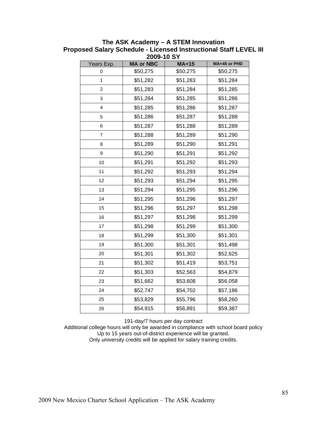| ZUUY-TU ƏT     |                  |          |              |  |  |  |  |  |
|----------------|------------------|----------|--------------|--|--|--|--|--|
| Years Exp.     | <b>MA or NBC</b> | $MA+15$  | MA+45 or PHD |  |  |  |  |  |
| 0              | \$50,275         | \$50,275 | \$50,275     |  |  |  |  |  |
| 1              | \$51,282         | \$51,283 | \$51,284     |  |  |  |  |  |
| 2              | \$51,283         | \$51,284 | \$51,285     |  |  |  |  |  |
| 3              | \$51,284         | \$51,285 | \$51,286     |  |  |  |  |  |
| 4              | \$51,285         | \$51,286 | \$51,287     |  |  |  |  |  |
| 5              | \$51,286         | \$51,287 | \$51,288     |  |  |  |  |  |
| 6              | \$51,287         | \$51,288 | \$51,289     |  |  |  |  |  |
| $\overline{7}$ | \$51,288         | \$51,289 | \$51,290     |  |  |  |  |  |
| 8              | \$51,289         | \$51,290 | \$51,291     |  |  |  |  |  |
| 9              | \$51,290         | \$51,291 | \$51,292     |  |  |  |  |  |
| 10             | \$51,291         | \$51,292 | \$51,293     |  |  |  |  |  |
| 11             | \$51,292         | \$51,293 | \$51,294     |  |  |  |  |  |
| 12             | \$51,293         | \$51,294 | \$51,295     |  |  |  |  |  |
| 13             | \$51,294         | \$51,295 | \$51,296     |  |  |  |  |  |
| 14             | \$51,295         | \$51,296 | \$51,297     |  |  |  |  |  |
| 15             | \$51,296         | \$51,297 | \$51,298     |  |  |  |  |  |
| 16             | \$51,297         | \$51,298 | \$51,299     |  |  |  |  |  |
| 17             | \$51,298         | \$51,299 | \$51,300     |  |  |  |  |  |
| 18             | \$51,299         | \$51,300 | \$51,301     |  |  |  |  |  |
| 19             | \$51,300         | \$51,301 | \$51,498     |  |  |  |  |  |
| 20             | \$51,301         | \$51,302 | \$52,625     |  |  |  |  |  |
| 21             | \$51,302         | \$51,419 | \$53,751     |  |  |  |  |  |
| 22             | \$51,303         | \$52,563 | \$54,879     |  |  |  |  |  |
| 23             | \$51,662         | \$53,608 | \$56,058     |  |  |  |  |  |
| 24             | \$52,747         | \$54,702 | \$57,186     |  |  |  |  |  |
| 25             | \$53,829         | \$55,796 | \$58,260     |  |  |  |  |  |
| 26             | \$54,915         | \$56,891 | \$59,387     |  |  |  |  |  |
|                |                  |          |              |  |  |  |  |  |

**The ASK Academy – A STEM Innovation Proposed Salary Schedule - Licensed Instructional Staff LEVEL III 2009-10 SY** 

191-day/7 hours per day contract

Additional college hours will only be awarded in compliance with school board policy Up to 15 years out-of-district experience will be granted. Only university credits will be applied for salary training credits.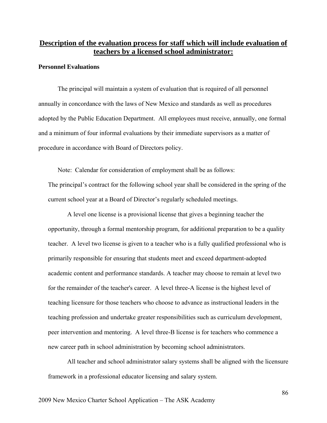# **Description of the evaluation process for staff which will include evaluation of teachers by a licensed school administrator:**

#### **Personnel Evaluations**

The principal will maintain a system of evaluation that is required of all personnel annually in concordance with the laws of New Mexico and standards as well as procedures adopted by the Public Education Department. All employees must receive, annually, one formal and a minimum of four informal evaluations by their immediate supervisors as a matter of procedure in accordance with Board of Directors policy.

 Note: Calendar for consideration of employment shall be as follows: The principal's contract for the following school year shall be considered in the spring of the current school year at a Board of Director's regularly scheduled meetings.

A level one license is a provisional license that gives a beginning teacher the opportunity, through a formal mentorship program, for additional preparation to be a quality teacher. A level two license is given to a teacher who is a fully qualified professional who is primarily responsible for ensuring that students meet and exceed department-adopted academic content and performance standards. A teacher may choose to remain at level two for the remainder of the teacher's career. A level three-A license is the highest level of teaching licensure for those teachers who choose to advance as instructional leaders in the teaching profession and undertake greater responsibilities such as curriculum development, peer intervention and mentoring. A level three-B license is for teachers who commence a new career path in school administration by becoming school administrators.

All teacher and school administrator salary systems shall be aligned with the licensure framework in a professional educator licensing and salary system.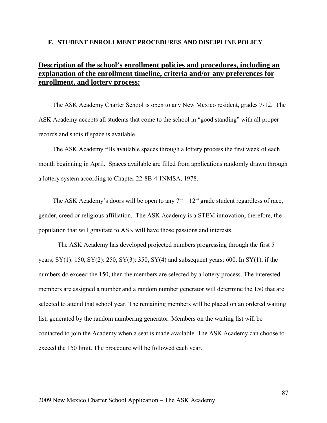#### **F. STUDENT ENROLLMENT PROCEDURES AND DISCIPLINE POLICY**

# **Description of the school's enrollment policies and procedures, including an explanation of the enrollment timeline, criteria and/or any preferences for enrollment, and lottery process:**

The ASK Academy Charter School is open to any New Mexico resident, grades 7-12. The ASK Academy accepts all students that come to the school in "good standing" with all proper records and shots if space is available.

The ASK Academy fills available spaces through a lottery process the first week of each month beginning in April. Spaces available are filled from applications randomly drawn through a lottery system according to Chapter 22-8B-4.1NMSA, 1978.

The ASK Academy's doors will be open to any  $7<sup>th</sup> - 12<sup>th</sup>$  grade student regardless of race, gender, creed or religious affiliation. The ASK Academy is a STEM innovation; therefore, the population that will gravitate to ASK will have those passions and interests.

The ASK Academy has developed projected numbers progressing through the first 5 years; SY(1): 150, SY(2): 250, SY(3): 350, SY(4) and subsequent years: 600. In SY(1), if the numbers do exceed the 150, then the members are selected by a lottery process. The interested members are assigned a number and a random number generator will determine the 150 that are selected to attend that school year. The remaining members will be placed on an ordered waiting list, generated by the random numbering generator. Members on the waiting list will be contacted to join the Academy when a seat is made available. The ASK Academy can choose to exceed the 150 limit. The procedure will be followed each year.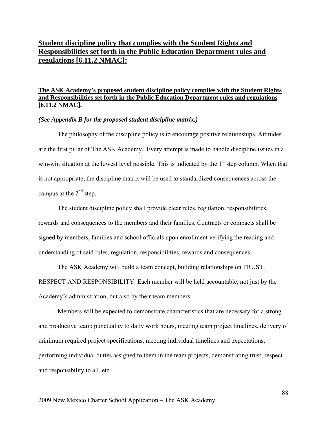# **Student discipline policy that complies with the Student Rights and Responsibilities set forth in the Public Education Department rules and regulations [6.11.2 NMAC]:**

## **The ASK Academy's proposed student discipline policy complies with the Student Rights and Responsibilities set forth in the Public Education Department rules and regulations [6.11.2 NMAC].**

#### *(See Appendix B for the proposed student discipline matrix.)*

The philosophy of the discipline policy is to encourage positive relationships. Attitudes are the first pillar of The ASK Academy. Every attempt is made to handle discipline issues in a win-win situation at the lowest level possible. This is indicated by the  $1<sup>st</sup>$  step column. When that is not appropriate, the discipline matrix will be used to standardized consequences across the campus at the  $2<sup>nd</sup>$  step.

The student discipline policy shall provide clear rules, regulation, responsibilities, rewards and consequences to the members and their families. Contracts or compacts shall be signed by members, families and school officials upon enrollment verifying the reading and understanding of said rules, regulation, responsibilities, rewards and consequences.

The ASK Academy will build a team concept, building relationships on TRUST, RESPECT AND RESPONSIBILITY. Each member will be held accountable, not just by the Academy's administration, but also by their team members.

Members will be expected to demonstrate characteristics that are necessary for a strong and productive team: punctuality to daily work hours, meeting team project timelines, delivery of minimum required project specifications, meeting individual timelines and expectations, performing individual duties assigned to them in the team projects, demonstrating trust, respect and responsibility to all, etc.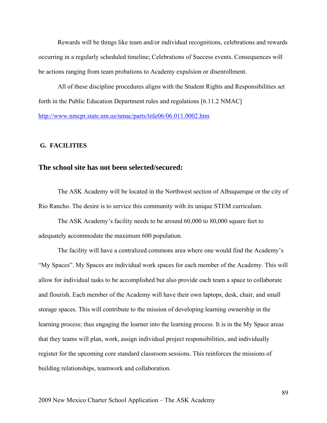Rewards will be things like team and/or individual recognitions, celebrations and rewards occurring in a regularly scheduled timeline; Celebrations of Success events. Consequences will be actions ranging from team probations to Academy expulsion or disenrollment.

All of these discipline procedures aligns with the Student Rights and Responsibilities set forth in the Public Education Department rules and regulations [6.11.2 NMAC] http://www.nmcpr.state.nm.us/nmac/parts/title06/06.011.0002.htm

### **G. FACILITIES**

## **The school site has not been selected/secured:**

The ASK Academy will be located in the Northwest section of Albuquerque or the city of Rio Rancho. The desire is to service this community with its unique STEM curriculum.

The ASK Academy's facility needs to be around 60,000 to 80,000 square feet to adequately accommodate the maximum 600 population.

The facility will have a centralized commons area where one would find the Academy's "My Spaces". My Spaces are individual work spaces for each member of the Academy. This will allow for individual tasks to be accomplished but also provide each team a space to collaborate and flourish. Each member of the Academy will have their own laptops, desk, chair, and small storage spaces. This will contribute to the mission of developing learning ownership in the learning process; thus engaging the learner into the learning process. It is in the My Space areas that they teams will plan, work, assign individual project responsibilities, and individually register for the upcoming core standard classroom sessions. This reinforces the missions of building relationships, teamwork and collaboration.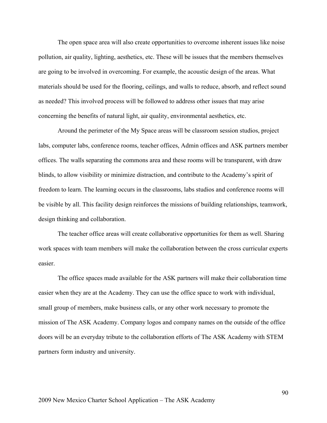The open space area will also create opportunities to overcome inherent issues like noise pollution, air quality, lighting, aesthetics, etc. These will be issues that the members themselves are going to be involved in overcoming. For example, the acoustic design of the areas. What materials should be used for the flooring, ceilings, and walls to reduce, absorb, and reflect sound as needed? This involved process will be followed to address other issues that may arise concerning the benefits of natural light, air quality, environmental aesthetics, etc.

Around the perimeter of the My Space areas will be classroom session studios, project labs, computer labs, conference rooms, teacher offices, Admin offices and ASK partners member offices. The walls separating the commons area and these rooms will be transparent, with draw blinds, to allow visibility or minimize distraction, and contribute to the Academy's spirit of freedom to learn. The learning occurs in the classrooms, labs studios and conference rooms will be visible by all. This facility design reinforces the missions of building relationships, teamwork, design thinking and collaboration.

The teacher office areas will create collaborative opportunities for them as well. Sharing work spaces with team members will make the collaboration between the cross curricular experts easier.

The office spaces made available for the ASK partners will make their collaboration time easier when they are at the Academy. They can use the office space to work with individual, small group of members, make business calls, or any other work necessary to promote the mission of The ASK Academy. Company logos and company names on the outside of the office doors will be an everyday tribute to the collaboration efforts of The ASK Academy with STEM partners form industry and university.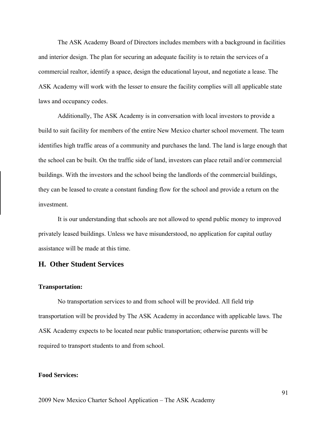The ASK Academy Board of Directors includes members with a background in facilities and interior design. The plan for securing an adequate facility is to retain the services of a commercial realtor, identify a space, design the educational layout, and negotiate a lease. The ASK Academy will work with the lesser to ensure the facility complies will all applicable state laws and occupancy codes.

Additionally, The ASK Academy is in conversation with local investors to provide a build to suit facility for members of the entire New Mexico charter school movement. The team identifies high traffic areas of a community and purchases the land. The land is large enough that the school can be built. On the traffic side of land, investors can place retail and/or commercial buildings. With the investors and the school being the landlords of the commercial buildings, they can be leased to create a constant funding flow for the school and provide a return on the investment.

It is our understanding that schools are not allowed to spend public money to improved privately leased buildings. Unless we have misunderstood, no application for capital outlay assistance will be made at this time.

## **H. Other Student Services**

#### **Transportation:**

No transportation services to and from school will be provided. All field trip transportation will be provided by The ASK Academy in accordance with applicable laws. The ASK Academy expects to be located near public transportation; otherwise parents will be required to transport students to and from school.

#### **Food Services:**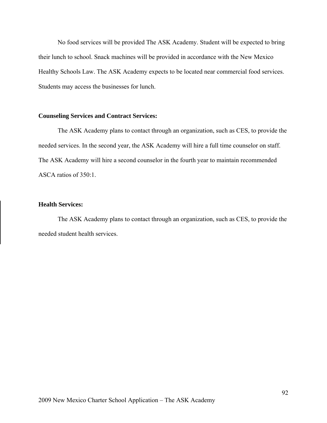No food services will be provided The ASK Academy. Student will be expected to bring their lunch to school. Snack machines will be provided in accordance with the New Mexico Healthy Schools Law. The ASK Academy expects to be located near commercial food services. Students may access the businesses for lunch.

### **Counseling Services and Contract Services:**

The ASK Academy plans to contact through an organization, such as CES, to provide the needed services. In the second year, the ASK Academy will hire a full time counselor on staff. The ASK Academy will hire a second counselor in the fourth year to maintain recommended ASCA ratios of 350:1.

### **Health Services:**

The ASK Academy plans to contact through an organization, such as CES, to provide the needed student health services.